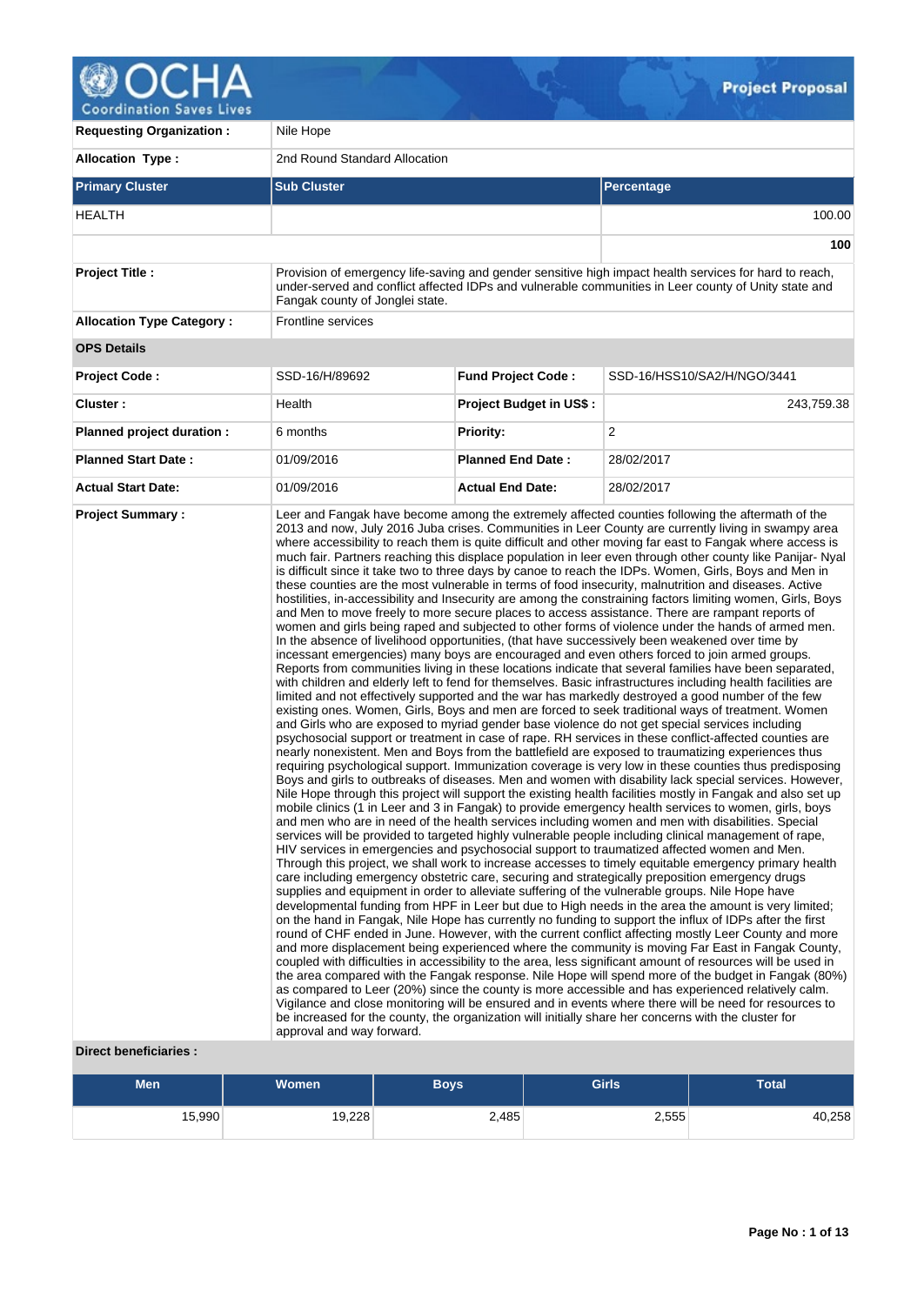

| <b>Requesting Organization:</b>  | Nile Hope                       |                           |                                                                                                                                                                                                                                                                                                                                                                                                                                                                                                                                                                                                                                                                                                                                                                                                                                                                                                                                                                                                                                                                                                                                                                                                                                                                                                                                                                                                                                                                                                                                                                                                                                                                                                                                                                                                                                                                                                                                                                                                                                                                                                                                                                                                                                                                                                                                                                                                                                                                                                                                                                                                                                                                                                                                                                                                                                                                                                                                                                                                                                                                                                                                                                                                                                                                                                                                                                                                                                                                                                                                                                                                                                                                                                                                                                                                                                                                                                                                                                                           |  |  |  |  |  |
|----------------------------------|---------------------------------|---------------------------|-------------------------------------------------------------------------------------------------------------------------------------------------------------------------------------------------------------------------------------------------------------------------------------------------------------------------------------------------------------------------------------------------------------------------------------------------------------------------------------------------------------------------------------------------------------------------------------------------------------------------------------------------------------------------------------------------------------------------------------------------------------------------------------------------------------------------------------------------------------------------------------------------------------------------------------------------------------------------------------------------------------------------------------------------------------------------------------------------------------------------------------------------------------------------------------------------------------------------------------------------------------------------------------------------------------------------------------------------------------------------------------------------------------------------------------------------------------------------------------------------------------------------------------------------------------------------------------------------------------------------------------------------------------------------------------------------------------------------------------------------------------------------------------------------------------------------------------------------------------------------------------------------------------------------------------------------------------------------------------------------------------------------------------------------------------------------------------------------------------------------------------------------------------------------------------------------------------------------------------------------------------------------------------------------------------------------------------------------------------------------------------------------------------------------------------------------------------------------------------------------------------------------------------------------------------------------------------------------------------------------------------------------------------------------------------------------------------------------------------------------------------------------------------------------------------------------------------------------------------------------------------------------------------------------------------------------------------------------------------------------------------------------------------------------------------------------------------------------------------------------------------------------------------------------------------------------------------------------------------------------------------------------------------------------------------------------------------------------------------------------------------------------------------------------------------------------------------------------------------------------------------------------------------------------------------------------------------------------------------------------------------------------------------------------------------------------------------------------------------------------------------------------------------------------------------------------------------------------------------------------------------------------------------------------------------------------------------------------------------------|--|--|--|--|--|
| <b>Allocation Type:</b>          | 2nd Round Standard Allocation   |                           |                                                                                                                                                                                                                                                                                                                                                                                                                                                                                                                                                                                                                                                                                                                                                                                                                                                                                                                                                                                                                                                                                                                                                                                                                                                                                                                                                                                                                                                                                                                                                                                                                                                                                                                                                                                                                                                                                                                                                                                                                                                                                                                                                                                                                                                                                                                                                                                                                                                                                                                                                                                                                                                                                                                                                                                                                                                                                                                                                                                                                                                                                                                                                                                                                                                                                                                                                                                                                                                                                                                                                                                                                                                                                                                                                                                                                                                                                                                                                                                           |  |  |  |  |  |
| <b>Primary Cluster</b>           | <b>Sub Cluster</b>              |                           | Percentage                                                                                                                                                                                                                                                                                                                                                                                                                                                                                                                                                                                                                                                                                                                                                                                                                                                                                                                                                                                                                                                                                                                                                                                                                                                                                                                                                                                                                                                                                                                                                                                                                                                                                                                                                                                                                                                                                                                                                                                                                                                                                                                                                                                                                                                                                                                                                                                                                                                                                                                                                                                                                                                                                                                                                                                                                                                                                                                                                                                                                                                                                                                                                                                                                                                                                                                                                                                                                                                                                                                                                                                                                                                                                                                                                                                                                                                                                                                                                                                |  |  |  |  |  |
| <b>HEALTH</b>                    |                                 |                           | 100.00                                                                                                                                                                                                                                                                                                                                                                                                                                                                                                                                                                                                                                                                                                                                                                                                                                                                                                                                                                                                                                                                                                                                                                                                                                                                                                                                                                                                                                                                                                                                                                                                                                                                                                                                                                                                                                                                                                                                                                                                                                                                                                                                                                                                                                                                                                                                                                                                                                                                                                                                                                                                                                                                                                                                                                                                                                                                                                                                                                                                                                                                                                                                                                                                                                                                                                                                                                                                                                                                                                                                                                                                                                                                                                                                                                                                                                                                                                                                                                                    |  |  |  |  |  |
|                                  |                                 |                           | 100                                                                                                                                                                                                                                                                                                                                                                                                                                                                                                                                                                                                                                                                                                                                                                                                                                                                                                                                                                                                                                                                                                                                                                                                                                                                                                                                                                                                                                                                                                                                                                                                                                                                                                                                                                                                                                                                                                                                                                                                                                                                                                                                                                                                                                                                                                                                                                                                                                                                                                                                                                                                                                                                                                                                                                                                                                                                                                                                                                                                                                                                                                                                                                                                                                                                                                                                                                                                                                                                                                                                                                                                                                                                                                                                                                                                                                                                                                                                                                                       |  |  |  |  |  |
| <b>Project Title:</b>            | Fangak county of Jonglei state. |                           | Provision of emergency life-saving and gender sensitive high impact health services for hard to reach,<br>under-served and conflict affected IDPs and vulnerable communities in Leer county of Unity state and                                                                                                                                                                                                                                                                                                                                                                                                                                                                                                                                                                                                                                                                                                                                                                                                                                                                                                                                                                                                                                                                                                                                                                                                                                                                                                                                                                                                                                                                                                                                                                                                                                                                                                                                                                                                                                                                                                                                                                                                                                                                                                                                                                                                                                                                                                                                                                                                                                                                                                                                                                                                                                                                                                                                                                                                                                                                                                                                                                                                                                                                                                                                                                                                                                                                                                                                                                                                                                                                                                                                                                                                                                                                                                                                                                            |  |  |  |  |  |
| <b>Allocation Type Category:</b> | <b>Frontline services</b>       |                           |                                                                                                                                                                                                                                                                                                                                                                                                                                                                                                                                                                                                                                                                                                                                                                                                                                                                                                                                                                                                                                                                                                                                                                                                                                                                                                                                                                                                                                                                                                                                                                                                                                                                                                                                                                                                                                                                                                                                                                                                                                                                                                                                                                                                                                                                                                                                                                                                                                                                                                                                                                                                                                                                                                                                                                                                                                                                                                                                                                                                                                                                                                                                                                                                                                                                                                                                                                                                                                                                                                                                                                                                                                                                                                                                                                                                                                                                                                                                                                                           |  |  |  |  |  |
| <b>OPS Details</b>               |                                 |                           |                                                                                                                                                                                                                                                                                                                                                                                                                                                                                                                                                                                                                                                                                                                                                                                                                                                                                                                                                                                                                                                                                                                                                                                                                                                                                                                                                                                                                                                                                                                                                                                                                                                                                                                                                                                                                                                                                                                                                                                                                                                                                                                                                                                                                                                                                                                                                                                                                                                                                                                                                                                                                                                                                                                                                                                                                                                                                                                                                                                                                                                                                                                                                                                                                                                                                                                                                                                                                                                                                                                                                                                                                                                                                                                                                                                                                                                                                                                                                                                           |  |  |  |  |  |
| <b>Project Code:</b>             | SSD-16/H/89692                  | <b>Fund Project Code:</b> | SSD-16/HSS10/SA2/H/NGO/3441                                                                                                                                                                                                                                                                                                                                                                                                                                                                                                                                                                                                                                                                                                                                                                                                                                                                                                                                                                                                                                                                                                                                                                                                                                                                                                                                                                                                                                                                                                                                                                                                                                                                                                                                                                                                                                                                                                                                                                                                                                                                                                                                                                                                                                                                                                                                                                                                                                                                                                                                                                                                                                                                                                                                                                                                                                                                                                                                                                                                                                                                                                                                                                                                                                                                                                                                                                                                                                                                                                                                                                                                                                                                                                                                                                                                                                                                                                                                                               |  |  |  |  |  |
| Cluster:                         | Health                          | Project Budget in US\$:   | 243,759.38                                                                                                                                                                                                                                                                                                                                                                                                                                                                                                                                                                                                                                                                                                                                                                                                                                                                                                                                                                                                                                                                                                                                                                                                                                                                                                                                                                                                                                                                                                                                                                                                                                                                                                                                                                                                                                                                                                                                                                                                                                                                                                                                                                                                                                                                                                                                                                                                                                                                                                                                                                                                                                                                                                                                                                                                                                                                                                                                                                                                                                                                                                                                                                                                                                                                                                                                                                                                                                                                                                                                                                                                                                                                                                                                                                                                                                                                                                                                                                                |  |  |  |  |  |
| Planned project duration :       | 6 months                        | <b>Priority:</b>          | 2                                                                                                                                                                                                                                                                                                                                                                                                                                                                                                                                                                                                                                                                                                                                                                                                                                                                                                                                                                                                                                                                                                                                                                                                                                                                                                                                                                                                                                                                                                                                                                                                                                                                                                                                                                                                                                                                                                                                                                                                                                                                                                                                                                                                                                                                                                                                                                                                                                                                                                                                                                                                                                                                                                                                                                                                                                                                                                                                                                                                                                                                                                                                                                                                                                                                                                                                                                                                                                                                                                                                                                                                                                                                                                                                                                                                                                                                                                                                                                                         |  |  |  |  |  |
| <b>Planned Start Date:</b>       | 01/09/2016                      | <b>Planned End Date:</b>  | 28/02/2017                                                                                                                                                                                                                                                                                                                                                                                                                                                                                                                                                                                                                                                                                                                                                                                                                                                                                                                                                                                                                                                                                                                                                                                                                                                                                                                                                                                                                                                                                                                                                                                                                                                                                                                                                                                                                                                                                                                                                                                                                                                                                                                                                                                                                                                                                                                                                                                                                                                                                                                                                                                                                                                                                                                                                                                                                                                                                                                                                                                                                                                                                                                                                                                                                                                                                                                                                                                                                                                                                                                                                                                                                                                                                                                                                                                                                                                                                                                                                                                |  |  |  |  |  |
| <b>Actual Start Date:</b>        | 01/09/2016                      | <b>Actual End Date:</b>   | 28/02/2017                                                                                                                                                                                                                                                                                                                                                                                                                                                                                                                                                                                                                                                                                                                                                                                                                                                                                                                                                                                                                                                                                                                                                                                                                                                                                                                                                                                                                                                                                                                                                                                                                                                                                                                                                                                                                                                                                                                                                                                                                                                                                                                                                                                                                                                                                                                                                                                                                                                                                                                                                                                                                                                                                                                                                                                                                                                                                                                                                                                                                                                                                                                                                                                                                                                                                                                                                                                                                                                                                                                                                                                                                                                                                                                                                                                                                                                                                                                                                                                |  |  |  |  |  |
|                                  | approval and way forward.       |                           | Leer and Fangak have become among the extremely affected counties following the aftermath of the<br>2013 and now, July 2016 Juba crises. Communities in Leer County are currently living in swampy area<br>where accessibility to reach them is quite difficult and other moving far east to Fangak where access is<br>much fair. Partners reaching this displace population in leer even through other county like Panijar-Nyal<br>is difficult since it take two to three days by canoe to reach the IDPs. Women, Girls, Boys and Men in<br>these counties are the most vulnerable in terms of food insecurity, malnutrition and diseases. Active<br>hostilities, in-accessibility and Insecurity are among the constraining factors limiting women, Girls, Boys<br>and Men to move freely to more secure places to access assistance. There are rampant reports of<br>women and girls being raped and subjected to other forms of violence under the hands of armed men.<br>In the absence of livelihood opportunities, (that have successively been weakened over time by<br>incessant emergencies) many boys are encouraged and even others forced to join armed groups.<br>Reports from communities living in these locations indicate that several families have been separated,<br>with children and elderly left to fend for themselves. Basic infrastructures including health facilities are<br>limited and not effectively supported and the war has markedly destroyed a good number of the few<br>existing ones. Women, Girls, Boys and men are forced to seek traditional ways of treatment. Women<br>and Girls who are exposed to myriad gender base violence do not get special services including<br>psychosocial support or treatment in case of rape. RH services in these conflict-affected counties are<br>nearly nonexistent. Men and Boys from the battlefield are exposed to traumatizing experiences thus<br>requiring psychological support. Immunization coverage is very low in these counties thus predisposing<br>Boys and girls to outbreaks of diseases. Men and women with disability lack special services. However,<br>Nile Hope through this project will support the existing health facilities mostly in Fangak and also set up<br>mobile clinics (1 in Leer and 3 in Fangak) to provide emergency health services to women, girls, boys<br>and men who are in need of the health services including women and men with disabilities. Special<br>services will be provided to targeted highly vulnerable people including clinical management of rape,<br>HIV services in emergencies and psychosocial support to traumatized affected women and Men.<br>Through this project, we shall work to increase accesses to timely equitable emergency primary health<br>care including emergency obstetric care, securing and strategically preposition emergency drugs<br>supplies and equipment in order to alleviate suffering of the vulnerable groups. Nile Hope have<br>developmental funding from HPF in Leer but due to High needs in the area the amount is very limited;<br>on the hand in Fangak, Nile Hope has currently no funding to support the influx of IDPs after the first<br>round of CHF ended in June. However, with the current conflict affecting mostly Leer County and more<br>and more displacement being experienced where the community is moving Far East in Fangak County,<br>coupled with difficulties in accessibility to the area, less significant amount of resources will be used in<br>the area compared with the Fangak response. Nile Hope will spend more of the budget in Fangak (80%)<br>as compared to Leer (20%) since the county is more accessible and has experienced relatively calm.<br>Vigilance and close monitoring will be ensured and in events where there will be need for resources to<br>be increased for the county, the organization will initially share her concerns with the cluster for |  |  |  |  |  |

# **Direct beneficiaries :**

| <b>Men</b> | Women <sup>'</sup> | <b>Boys</b> | <b>Girls</b> | Total  |
|------------|--------------------|-------------|--------------|--------|
| 15,990     | 19,228             | 2,485       | 2,555        | 40,258 |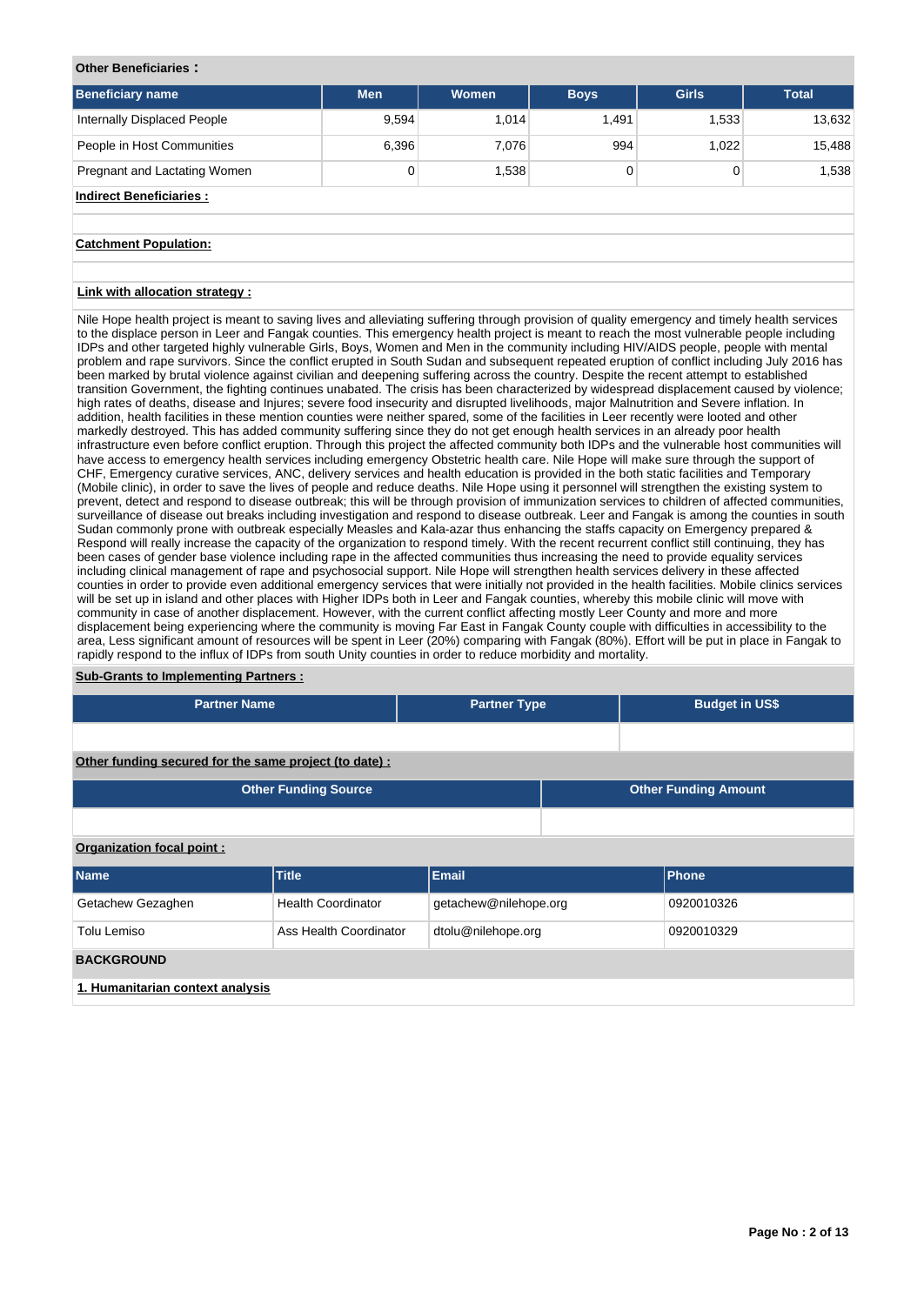### **Other Beneficiaries :**

| <b>Beneficiary name</b>        | <b>Men</b> | <b>Women</b> | <b>Boys</b> | <b>Girls</b> | <b>Total</b> |
|--------------------------------|------------|--------------|-------------|--------------|--------------|
| Internally Displaced People    | 9,594      | 1.014        | 1.491       | 1,533        | 13,632       |
| People in Host Communities     | 6,396      | 7.076        | 994         | 1.022        | 15,488       |
| Pregnant and Lactating Women   | 0          | 1,538        | 0           |              | 1,538        |
| <b>Indirect Beneficiaries:</b> |            |              |             |              |              |

### **Catchment Population:**

## **Link with allocation strategy :**

Nile Hope health project is meant to saving lives and alleviating suffering through provision of quality emergency and timely health services to the displace person in Leer and Fangak counties. This emergency health project is meant to reach the most vulnerable people including IDPs and other targeted highly vulnerable Girls, Boys, Women and Men in the community including HIV/AIDS people, people with mental problem and rape survivors. Since the conflict erupted in South Sudan and subsequent repeated eruption of conflict including July 2016 has been marked by brutal violence against civilian and deepening suffering across the country. Despite the recent attempt to established transition Government, the fighting continues unabated. The crisis has been characterized by widespread displacement caused by violence; high rates of deaths, disease and Injures; severe food insecurity and disrupted livelihoods, major Malnutrition and Severe inflation. In addition, health facilities in these mention counties were neither spared, some of the facilities in Leer recently were looted and other markedly destroyed. This has added community suffering since they do not get enough health services in an already poor health infrastructure even before conflict eruption. Through this project the affected community both IDPs and the vulnerable host communities will have access to emergency health services including emergency Obstetric health care. Nile Hope will make sure through the support of CHF, Emergency curative services, ANC, delivery services and health education is provided in the both static facilities and Temporary (Mobile clinic), in order to save the lives of people and reduce deaths. Nile Hope using it personnel will strengthen the existing system to prevent, detect and respond to disease outbreak; this will be through provision of immunization services to children of affected communities, surveillance of disease out breaks including investigation and respond to disease outbreak. Leer and Fangak is among the counties in south Sudan commonly prone with outbreak especially Measles and Kala-azar thus enhancing the staffs capacity on Emergency prepared & Respond will really increase the capacity of the organization to respond timely. With the recent recurrent conflict still continuing, they has been cases of gender base violence including rape in the affected communities thus increasing the need to provide equality services including clinical management of rape and psychosocial support. Nile Hope will strengthen health services delivery in these affected counties in order to provide even additional emergency services that were initially not provided in the health facilities. Mobile clinics services will be set up in island and other places with Higher IDPs both in Leer and Fangak counties, whereby this mobile clinic will move with community in case of another displacement. However, with the current conflict affecting mostly Leer County and more and more displacement being experiencing where the community is moving Far East in Fangak County couple with difficulties in accessibility to the area, Less significant amount of resources will be spent in Leer (20%) comparing with Fangak (80%). Effort will be put in place in Fangak to rapidly respond to the influx of IDPs from south Unity counties in order to reduce morbidity and mortality.

### **Sub-Grants to Implementing Partners :**

| <b>Partner Name</b>                                    |                             | <b>Partner Type</b>         | <b>Budget in US\$</b> |              |  |  |  |  |  |
|--------------------------------------------------------|-----------------------------|-----------------------------|-----------------------|--------------|--|--|--|--|--|
|                                                        |                             |                             |                       |              |  |  |  |  |  |
| Other funding secured for the same project (to date) : |                             |                             |                       |              |  |  |  |  |  |
|                                                        | <b>Other Funding Source</b> | <b>Other Funding Amount</b> |                       |              |  |  |  |  |  |
|                                                        |                             |                             |                       |              |  |  |  |  |  |
| Organization focal point:                              |                             |                             |                       |              |  |  |  |  |  |
| Name                                                   | <b>Title</b>                | <b>Email</b>                |                       | <b>Phone</b> |  |  |  |  |  |
| Getachew Gezaghen                                      | <b>Health Coordinator</b>   | getachew@nilehope.org       |                       | 0920010326   |  |  |  |  |  |
| Tolu Lemiso                                            | Ass Health Coordinator      | dtolu@nilehope.org          |                       | 0920010329   |  |  |  |  |  |
| <b>BACKGROUND</b>                                      |                             |                             |                       |              |  |  |  |  |  |
| 1. Humanitarian context analysis                       |                             |                             |                       |              |  |  |  |  |  |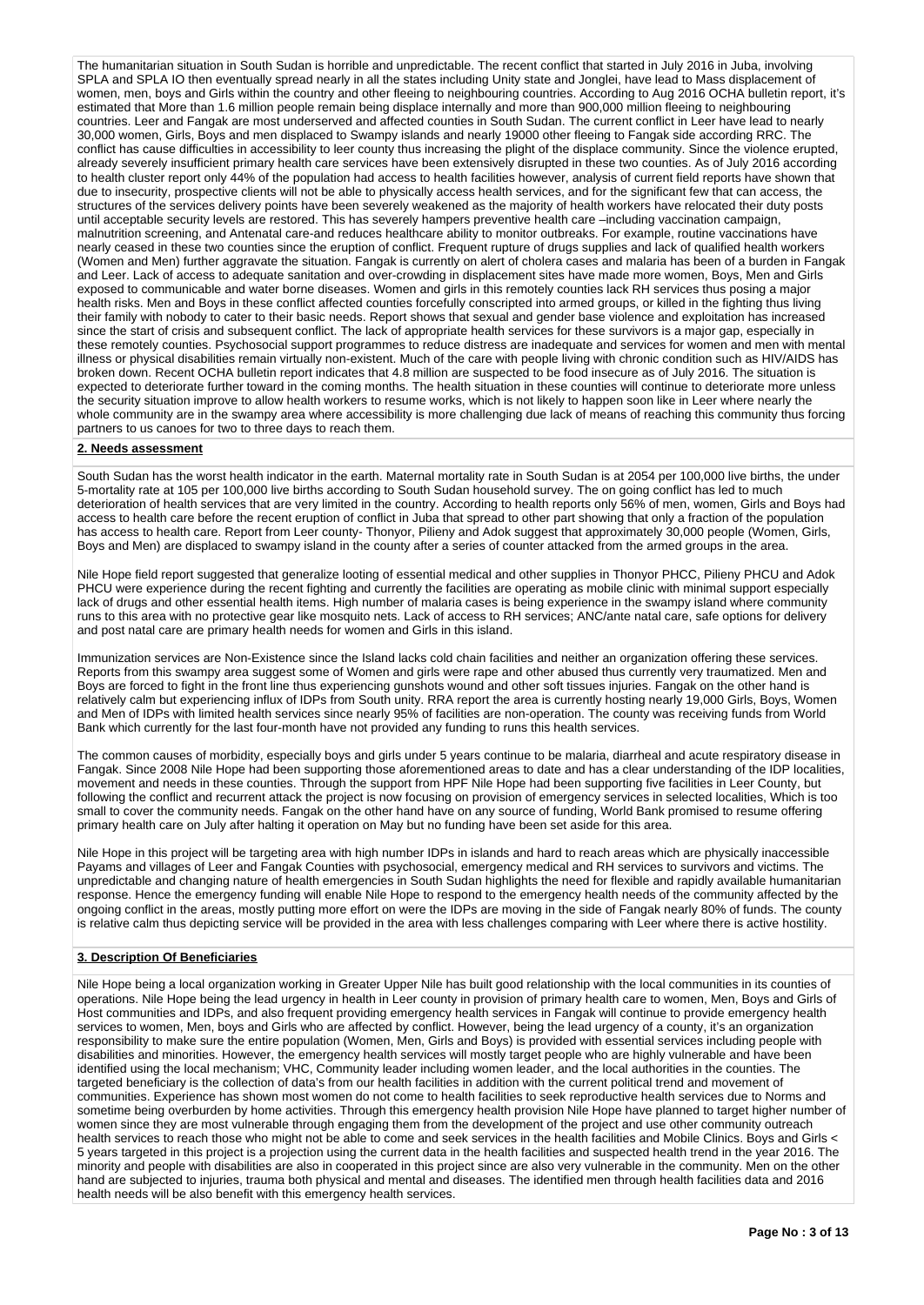The humanitarian situation in South Sudan is horrible and unpredictable. The recent conflict that started in July 2016 in Juba, involving SPLA and SPLA IO then eventually spread nearly in all the states including Unity state and Jonglei, have lead to Mass displacement of women, men, boys and Girls within the country and other fleeing to neighbouring countries. According to Aug 2016 OCHA bulletin report, it's estimated that More than 1.6 million people remain being displace internally and more than 900,000 million fleeing to neighbouring countries. Leer and Fangak are most underserved and affected counties in South Sudan. The current conflict in Leer have lead to nearly 30,000 women, Girls, Boys and men displaced to Swampy islands and nearly 19000 other fleeing to Fangak side according RRC. The conflict has cause difficulties in accessibility to leer county thus increasing the plight of the displace community. Since the violence erupted, already severely insufficient primary health care services have been extensively disrupted in these two counties. As of July 2016 according to health cluster report only 44% of the population had access to health facilities however, analysis of current field reports have shown that due to insecurity, prospective clients will not be able to physically access health services, and for the significant few that can access, the structures of the services delivery points have been severely weakened as the majority of health workers have relocated their duty posts until acceptable security levels are restored. This has severely hampers preventive health care –including vaccination campaign, malnutrition screening, and Antenatal care-and reduces healthcare ability to monitor outbreaks. For example, routine vaccinations have nearly ceased in these two counties since the eruption of conflict. Frequent rupture of drugs supplies and lack of qualified health workers (Women and Men) further aggravate the situation. Fangak is currently on alert of cholera cases and malaria has been of a burden in Fangak and Leer. Lack of access to adequate sanitation and over-crowding in displacement sites have made more women, Boys, Men and Girls exposed to communicable and water borne diseases. Women and girls in this remotely counties lack RH services thus posing a major health risks. Men and Boys in these conflict affected counties forcefully conscripted into armed groups, or killed in the fighting thus living their family with nobody to cater to their basic needs. Report shows that sexual and gender base violence and exploitation has increased since the start of crisis and subsequent conflict. The lack of appropriate health services for these survivors is a major gap, especially in these remotely counties. Psychosocial support programmes to reduce distress are inadequate and services for women and men with mental illness or physical disabilities remain virtually non-existent. Much of the care with people living with chronic condition such as HIV/AIDS has broken down. Recent OCHA bulletin report indicates that 4.8 million are suspected to be food insecure as of July 2016. The situation is expected to deteriorate further toward in the coming months. The health situation in these counties will continue to deteriorate more unless the security situation improve to allow health workers to resume works, which is not likely to happen soon like in Leer where nearly the whole community are in the swampy area where accessibility is more challenging due lack of means of reaching this community thus forcing partners to us canoes for two to three days to reach them.

## **2. Needs assessment**

South Sudan has the worst health indicator in the earth. Maternal mortality rate in South Sudan is at 2054 per 100,000 live births, the under 5-mortality rate at 105 per 100,000 live births according to South Sudan household survey. The on going conflict has led to much deterioration of health services that are very limited in the country. According to health reports only 56% of men, women, Girls and Boys had access to health care before the recent eruption of conflict in Juba that spread to other part showing that only a fraction of the population has access to health care. Report from Leer county- Thonyor, Pilieny and Adok suggest that approximately 30,000 people (Women, Girls, Boys and Men) are displaced to swampy island in the county after a series of counter attacked from the armed groups in the area.

Nile Hope field report suggested that generalize looting of essential medical and other supplies in Thonyor PHCC, Pilieny PHCU and Adok PHCU were experience during the recent fighting and currently the facilities are operating as mobile clinic with minimal support especially lack of drugs and other essential health items. High number of malaria cases is being experience in the swampy island where community runs to this area with no protective gear like mosquito nets. Lack of access to RH services; ANC/ante natal care, safe options for delivery and post natal care are primary health needs for women and Girls in this island.

Immunization services are Non-Existence since the Island lacks cold chain facilities and neither an organization offering these services. Reports from this swampy area suggest some of Women and girls were rape and other abused thus currently very traumatized. Men and Boys are forced to fight in the front line thus experiencing gunshots wound and other soft tissues injuries. Fangak on the other hand is relatively calm but experiencing influx of IDPs from South unity. RRA report the area is currently hosting nearly 19,000 Girls, Boys, Women and Men of IDPs with limited health services since nearly 95% of facilities are non-operation. The county was receiving funds from World Bank which currently for the last four-month have not provided any funding to runs this health services.

The common causes of morbidity, especially boys and girls under 5 years continue to be malaria, diarrheal and acute respiratory disease in Fangak. Since 2008 Nile Hope had been supporting those aforementioned areas to date and has a clear understanding of the IDP localities, movement and needs in these counties. Through the support from HPF Nile Hope had been supporting five facilities in Leer County, but following the conflict and recurrent attack the project is now focusing on provision of emergency services in selected localities, Which is too small to cover the community needs. Fangak on the other hand have on any source of funding, World Bank promised to resume offering primary health care on July after halting it operation on May but no funding have been set aside for this area.

Nile Hope in this project will be targeting area with high number IDPs in islands and hard to reach areas which are physically inaccessible Payams and villages of Leer and Fangak Counties with psychosocial, emergency medical and RH services to survivors and victims. The unpredictable and changing nature of health emergencies in South Sudan highlights the need for flexible and rapidly available humanitarian response. Hence the emergency funding will enable Nile Hope to respond to the emergency health needs of the community affected by the ongoing conflict in the areas, mostly putting more effort on were the IDPs are moving in the side of Fangak nearly 80% of funds. The county is relative calm thus depicting service will be provided in the area with less challenges comparing with Leer where there is active hostility.

## **3. Description Of Beneficiaries**

Nile Hope being a local organization working in Greater Upper Nile has built good relationship with the local communities in its counties of operations. Nile Hope being the lead urgency in health in Leer county in provision of primary health care to women, Men, Boys and Girls of Host communities and IDPs, and also frequent providing emergency health services in Fangak will continue to provide emergency health services to women, Men, boys and Girls who are affected by conflict. However, being the lead urgency of a county, it's an organization responsibility to make sure the entire population (Women, Men, Girls and Boys) is provided with essential services including people with disabilities and minorities. However, the emergency health services will mostly target people who are highly vulnerable and have been identified using the local mechanism; VHC, Community leader including women leader, and the local authorities in the counties. The targeted beneficiary is the collection of data's from our health facilities in addition with the current political trend and movement of communities. Experience has shown most women do not come to health facilities to seek reproductive health services due to Norms and sometime being overburden by home activities. Through this emergency health provision Nile Hope have planned to target higher number of women since they are most vulnerable through engaging them from the development of the project and use other community outreach health services to reach those who might not be able to come and seek services in the health facilities and Mobile Clinics. Boys and Girls < 5 years targeted in this project is a projection using the current data in the health facilities and suspected health trend in the year 2016. The minority and people with disabilities are also in cooperated in this project since are also very vulnerable in the community. Men on the other hand are subjected to injuries, trauma both physical and mental and diseases. The identified men through health facilities data and 2016 health needs will be also benefit with this emergency health services.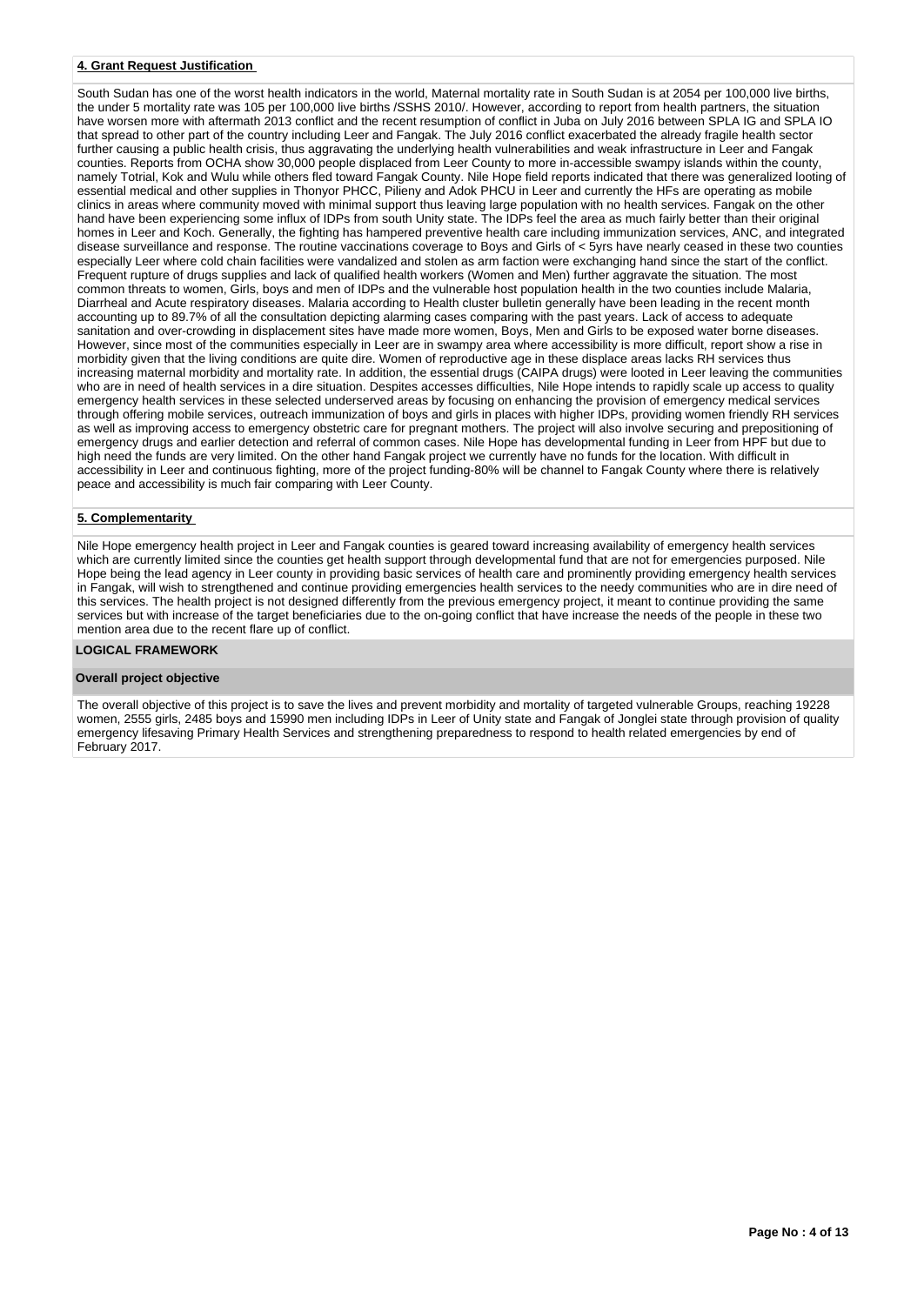## **4. Grant Request Justification**

South Sudan has one of the worst health indicators in the world, Maternal mortality rate in South Sudan is at 2054 per 100,000 live births, the under 5 mortality rate was 105 per 100,000 live births /SSHS 2010/. However, according to report from health partners, the situation have worsen more with aftermath 2013 conflict and the recent resumption of conflict in Juba on July 2016 between SPLA IG and SPLA IO that spread to other part of the country including Leer and Fangak. The July 2016 conflict exacerbated the already fragile health sector further causing a public health crisis, thus aggravating the underlying health vulnerabilities and weak infrastructure in Leer and Fangak counties. Reports from OCHA show 30,000 people displaced from Leer County to more in-accessible swampy islands within the county, namely Totrial, Kok and Wulu while others fled toward Fangak County. Nile Hope field reports indicated that there was generalized looting of essential medical and other supplies in Thonyor PHCC, Pilieny and Adok PHCU in Leer and currently the HFs are operating as mobile clinics in areas where community moved with minimal support thus leaving large population with no health services. Fangak on the other hand have been experiencing some influx of IDPs from south Unity state. The IDPs feel the area as much fairly better than their original homes in Leer and Koch. Generally, the fighting has hampered preventive health care including immunization services, ANC, and integrated disease surveillance and response. The routine vaccinations coverage to Boys and Girls of < 5yrs have nearly ceased in these two counties especially Leer where cold chain facilities were vandalized and stolen as arm faction were exchanging hand since the start of the conflict. Frequent rupture of drugs supplies and lack of qualified health workers (Women and Men) further aggravate the situation. The most common threats to women, Girls, boys and men of IDPs and the vulnerable host population health in the two counties include Malaria, Diarrheal and Acute respiratory diseases. Malaria according to Health cluster bulletin generally have been leading in the recent month accounting up to 89.7% of all the consultation depicting alarming cases comparing with the past years. Lack of access to adequate sanitation and over-crowding in displacement sites have made more women, Boys, Men and Girls to be exposed water borne diseases. However, since most of the communities especially in Leer are in swampy area where accessibility is more difficult, report show a rise in morbidity given that the living conditions are quite dire. Women of reproductive age in these displace areas lacks RH services thus increasing maternal morbidity and mortality rate. In addition, the essential drugs (CAIPA drugs) were looted in Leer leaving the communities who are in need of health services in a dire situation. Despites accesses difficulties, Nile Hope intends to rapidly scale up access to quality emergency health services in these selected underserved areas by focusing on enhancing the provision of emergency medical services through offering mobile services, outreach immunization of boys and girls in places with higher IDPs, providing women friendly RH services as well as improving access to emergency obstetric care for pregnant mothers. The project will also involve securing and prepositioning of emergency drugs and earlier detection and referral of common cases. Nile Hope has developmental funding in Leer from HPF but due to high need the funds are very limited. On the other hand Fangak project we currently have no funds for the location. With difficult in accessibility in Leer and continuous fighting, more of the project funding-80% will be channel to Fangak County where there is relatively peace and accessibility is much fair comparing with Leer County.

## **5. Complementarity**

Nile Hope emergency health project in Leer and Fangak counties is geared toward increasing availability of emergency health services which are currently limited since the counties get health support through developmental fund that are not for emergencies purposed. Nile Hope being the lead agency in Leer county in providing basic services of health care and prominently providing emergency health services in Fangak, will wish to strengthened and continue providing emergencies health services to the needy communities who are in dire need of this services. The health project is not designed differently from the previous emergency project, it meant to continue providing the same services but with increase of the target beneficiaries due to the on-going conflict that have increase the needs of the people in these two mention area due to the recent flare up of conflict.

#### **LOGICAL FRAMEWORK**

### **Overall project objective**

The overall objective of this project is to save the lives and prevent morbidity and mortality of targeted vulnerable Groups, reaching 19228 women, 2555 girls, 2485 boys and 15990 men including IDPs in Leer of Unity state and Fangak of Jonglei state through provision of quality emergency lifesaving Primary Health Services and strengthening preparedness to respond to health related emergencies by end of February 2017.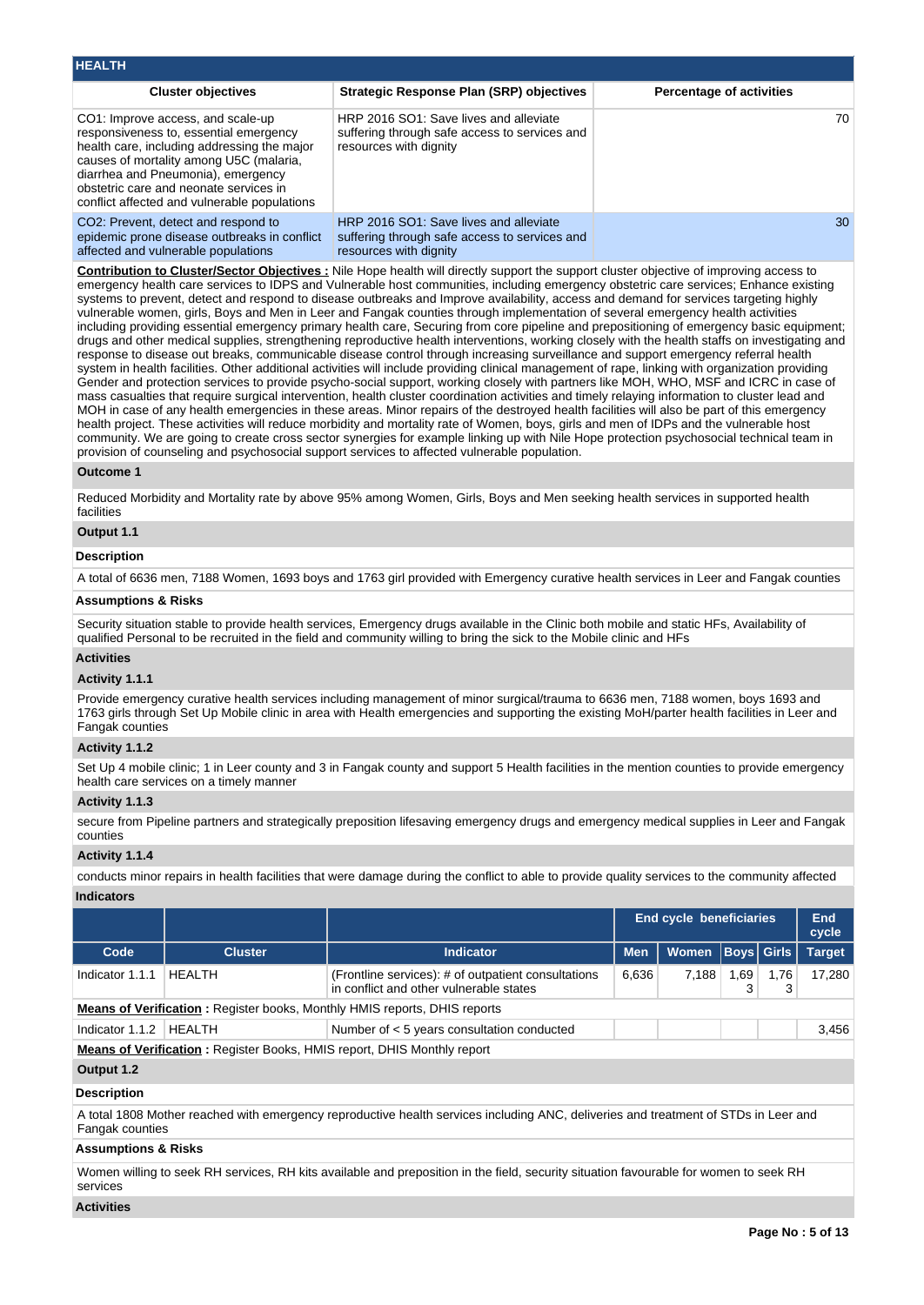| <b>HEALTH</b>                                                                                                                                                                                                                                                                                         |                                                                                                                   |                                 |
|-------------------------------------------------------------------------------------------------------------------------------------------------------------------------------------------------------------------------------------------------------------------------------------------------------|-------------------------------------------------------------------------------------------------------------------|---------------------------------|
| <b>Cluster objectives</b>                                                                                                                                                                                                                                                                             | <b>Strategic Response Plan (SRP) objectives</b>                                                                   | <b>Percentage of activities</b> |
| CO1: Improve access, and scale-up<br>responsiveness to, essential emergency<br>health care, including addressing the major<br>causes of mortality among U5C (malaria,<br>diarrhea and Pneumonia), emergency<br>obstetric care and neonate services in<br>conflict affected and vulnerable populations | HRP 2016 SO1: Save lives and alleviate<br>suffering through safe access to services and<br>resources with dignity | 70.                             |
| CO2: Prevent, detect and respond to<br>epidemic prone disease outbreaks in conflict<br>affected and vulnerable populations                                                                                                                                                                            | HRP 2016 SO1: Save lives and alleviate<br>suffering through safe access to services and<br>resources with dignity | 30                              |

**Contribution to Cluster/Sector Objectives :** Nile Hope health will directly support the support cluster objective of improving access to emergency health care services to IDPS and Vulnerable host communities, including emergency obstetric care services; Enhance existing systems to prevent, detect and respond to disease outbreaks and Improve availability, access and demand for services targeting highly vulnerable women, girls, Boys and Men in Leer and Fangak counties through implementation of several emergency health activities including providing essential emergency primary health care, Securing from core pipeline and prepositioning of emergency basic equipment; drugs and other medical supplies, strengthening reproductive health interventions, working closely with the health staffs on investigating and response to disease out breaks, communicable disease control through increasing surveillance and support emergency referral health system in health facilities. Other additional activities will include providing clinical management of rape, linking with organization providing Gender and protection services to provide psycho-social support, working closely with partners like MOH, WHO, MSF and ICRC in case of mass casualties that require surgical intervention, health cluster coordination activities and timely relaying information to cluster lead and MOH in case of any health emergencies in these areas. Minor repairs of the destroyed health facilities will also be part of this emergency health project. These activities will reduce morbidity and mortality rate of Women, boys, girls and men of IDPs and the vulnerable host community. We are going to create cross sector synergies for example linking up with Nile Hope protection psychosocial technical team in provision of counseling and psychosocial support services to affected vulnerable population.

### **Outcome 1**

Reduced Morbidity and Mortality rate by above 95% among Women, Girls, Boys and Men seeking health services in supported health facilities

# **Output 1.1**

### **Description**

A total of 6636 men, 7188 Women, 1693 boys and 1763 girl provided with Emergency curative health services in Leer and Fangak counties

# **Assumptions & Risks**

Security situation stable to provide health services, Emergency drugs available in the Clinic both mobile and static HFs, Availability of qualified Personal to be recruited in the field and community willing to bring the sick to the Mobile clinic and HFs

## **Activities**

### **Activity 1.1.1**

Provide emergency curative health services including management of minor surgical/trauma to 6636 men, 7188 women, boys 1693 and 1763 girls through Set Up Mobile clinic in area with Health emergencies and supporting the existing MoH/parter health facilities in Leer and Fangak counties

### **Activity 1.1.2**

Set Up 4 mobile clinic; 1 in Leer county and 3 in Fangak county and support 5 Health facilities in the mention counties to provide emergency health care services on a timely manner

## **Activity 1.1.3**

secure from Pipeline partners and strategically preposition lifesaving emergency drugs and emergency medical supplies in Leer and Fangak counties

# **Activity 1.1.4**

conducts minor repairs in health facilities that were damage during the conflict to able to provide quality services to the community affected **Indicators**

|                                                                                |                |                                                                                                |            | <b>End cycle beneficiaries</b> |                   |           | End<br>cycle  |  |  |  |  |
|--------------------------------------------------------------------------------|----------------|------------------------------------------------------------------------------------------------|------------|--------------------------------|-------------------|-----------|---------------|--|--|--|--|
| Code                                                                           | <b>Cluster</b> | <b>Indicator</b>                                                                               | <b>Men</b> | <b>Women</b>                   | <b>Boys Girls</b> |           | <b>Target</b> |  |  |  |  |
| Indicator 1.1.1                                                                | <b>HEALTH</b>  | (Frontline services): # of outpatient consultations<br>in conflict and other vulnerable states | 6,636      | 7,188                          | 1,69              | 1,76<br>3 | 17,280        |  |  |  |  |
|                                                                                |                | <b>Means of Verification:</b> Register books, Monthly HMIS reports, DHIS reports               |            |                                |                   |           |               |  |  |  |  |
| Indicator 1.1.2                                                                | HEALTH         | Number of < 5 years consultation conducted                                                     |            |                                |                   |           | 3.456         |  |  |  |  |
| <b>Means of Verification:</b> Register Books, HMIS report, DHIS Monthly report |                |                                                                                                |            |                                |                   |           |               |  |  |  |  |
| Output 1.2                                                                     |                |                                                                                                |            |                                |                   |           |               |  |  |  |  |

# **Description**

A total 1808 Mother reached with emergency reproductive health services including ANC, deliveries and treatment of STDs in Leer and Fangak counties

# **Assumptions & Risks**

Women willing to seek RH services, RH kits available and preposition in the field, security situation favourable for women to seek RH services

## **Activities**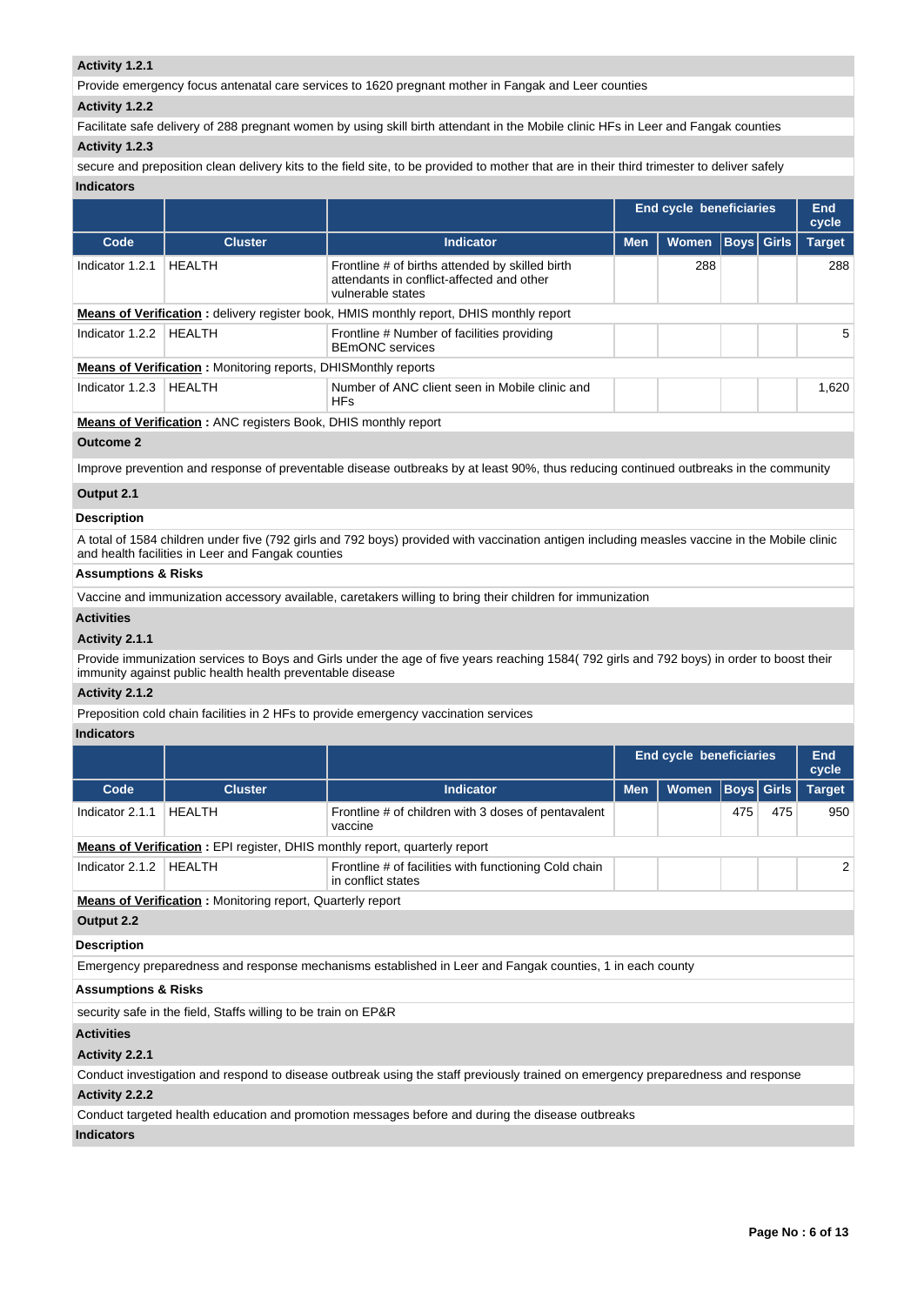# **Activity 1.2.1**

Provide emergency focus antenatal care services to 1620 pregnant mother in Fangak and Leer counties

## **Activity 1.2.2**

Facilitate safe delivery of 288 pregnant women by using skill birth attendant in the Mobile clinic HFs in Leer and Fangak counties

# **Activity 1.2.3**

secure and preposition clean delivery kits to the field site, to be provided to mother that are in their third trimester to deliver safely **Indicators**

|                  |                                                                       |                                                                                                                                      | <b>End cycle beneficiaries</b> |              |  |                   | End<br>cycle  |  |
|------------------|-----------------------------------------------------------------------|--------------------------------------------------------------------------------------------------------------------------------------|--------------------------------|--------------|--|-------------------|---------------|--|
| Code             | <b>Cluster</b>                                                        | <b>Indicator</b>                                                                                                                     | <b>Men</b>                     | <b>Women</b> |  | <b>Boys Girls</b> | <b>Target</b> |  |
| Indicator 1.2.1  | <b>HEALTH</b>                                                         | Frontline # of births attended by skilled birth<br>attendants in conflict-affected and other<br>vulnerable states                    |                                | 288          |  |                   | 288           |  |
|                  |                                                                       | <b>Means of Verification:</b> delivery register book, HMIS monthly report, DHIS monthly report                                       |                                |              |  |                   |               |  |
| Indicator 1.2.2  | HEALTH                                                                | Frontline # Number of facilities providing<br><b>BEmONC</b> services                                                                 |                                |              |  |                   | 5             |  |
|                  | <b>Means of Verification:</b> Monitoring reports, DHISMonthly reports |                                                                                                                                      |                                |              |  |                   |               |  |
| Indicator 1.2.3  | HEALTH                                                                | Number of ANC client seen in Mobile clinic and<br><b>HFs</b>                                                                         |                                |              |  |                   | 1,620         |  |
|                  | <b>Means of Verification:</b> ANC registers Book, DHIS monthly report |                                                                                                                                      |                                |              |  |                   |               |  |
| <b>Outcome 2</b> |                                                                       |                                                                                                                                      |                                |              |  |                   |               |  |
|                  |                                                                       | Improve prevention and response of preventable disease outbreaks by at least 90%, thus reducing continued outbreaks in the community |                                |              |  |                   |               |  |
| .                |                                                                       |                                                                                                                                      |                                |              |  |                   |               |  |

## **Output 2.1**

# **Description**

A total of 1584 children under five (792 girls and 792 boys) provided with vaccination antigen including measles vaccine in the Mobile clinic and health facilities in Leer and Fangak counties

# **Assumptions & Risks**

Vaccine and immunization accessory available, caretakers willing to bring their children for immunization

# **Activities**

## **Activity 2.1.1**

Provide immunization services to Boys and Girls under the age of five years reaching 1584( 792 girls and 792 boys) in order to boost their immunity against public health health preventable disease

# **Activity 2.1.2**

Preposition cold chain facilities in 2 HFs to provide emergency vaccination services

# **Indicators**

|                                                                                   |                                                                |                                                                                                                                 | <b>End cycle beneficiaries</b> |              | <b>End</b><br>cycle |     |               |  |  |  |
|-----------------------------------------------------------------------------------|----------------------------------------------------------------|---------------------------------------------------------------------------------------------------------------------------------|--------------------------------|--------------|---------------------|-----|---------------|--|--|--|
| Code                                                                              | <b>Cluster</b>                                                 | Indicator                                                                                                                       | <b>Men</b>                     | <b>Women</b> | <b>Boys</b> Girls   |     | <b>Target</b> |  |  |  |
| Indicator 2.1.1                                                                   | <b>HEALTH</b>                                                  | Frontline # of children with 3 doses of pentavalent<br>vaccine                                                                  |                                |              | 475                 | 475 | 950           |  |  |  |
| <b>Means of Verification:</b> EPI register, DHIS monthly report, quarterly report |                                                                |                                                                                                                                 |                                |              |                     |     |               |  |  |  |
| Indicator 2.1.2                                                                   | <b>HEALTH</b>                                                  | Frontline # of facilities with functioning Cold chain<br>in conflict states                                                     |                                |              |                     |     | 2             |  |  |  |
| <b>Means of Verification:</b> Monitoring report, Quarterly report                 |                                                                |                                                                                                                                 |                                |              |                     |     |               |  |  |  |
| Output 2.2                                                                        |                                                                |                                                                                                                                 |                                |              |                     |     |               |  |  |  |
| <b>Description</b>                                                                |                                                                |                                                                                                                                 |                                |              |                     |     |               |  |  |  |
|                                                                                   |                                                                | Emergency preparedness and response mechanisms established in Leer and Fangak counties, 1 in each county                        |                                |              |                     |     |               |  |  |  |
| <b>Assumptions &amp; Risks</b>                                                    |                                                                |                                                                                                                                 |                                |              |                     |     |               |  |  |  |
|                                                                                   | security safe in the field, Staffs willing to be train on EP&R |                                                                                                                                 |                                |              |                     |     |               |  |  |  |
| <b>Activities</b>                                                                 |                                                                |                                                                                                                                 |                                |              |                     |     |               |  |  |  |
| Activity 2.2.1                                                                    |                                                                |                                                                                                                                 |                                |              |                     |     |               |  |  |  |
|                                                                                   |                                                                | Conduct investigation and respond to disease outbreak using the staff previously trained on emergency preparedness and response |                                |              |                     |     |               |  |  |  |
| <b>Activity 2.2.2</b>                                                             |                                                                |                                                                                                                                 |                                |              |                     |     |               |  |  |  |
|                                                                                   |                                                                | Conduct targeted health education and promotion messages before and during the disease outbreaks                                |                                |              |                     |     |               |  |  |  |
| <b>Indicators</b>                                                                 |                                                                |                                                                                                                                 |                                |              |                     |     |               |  |  |  |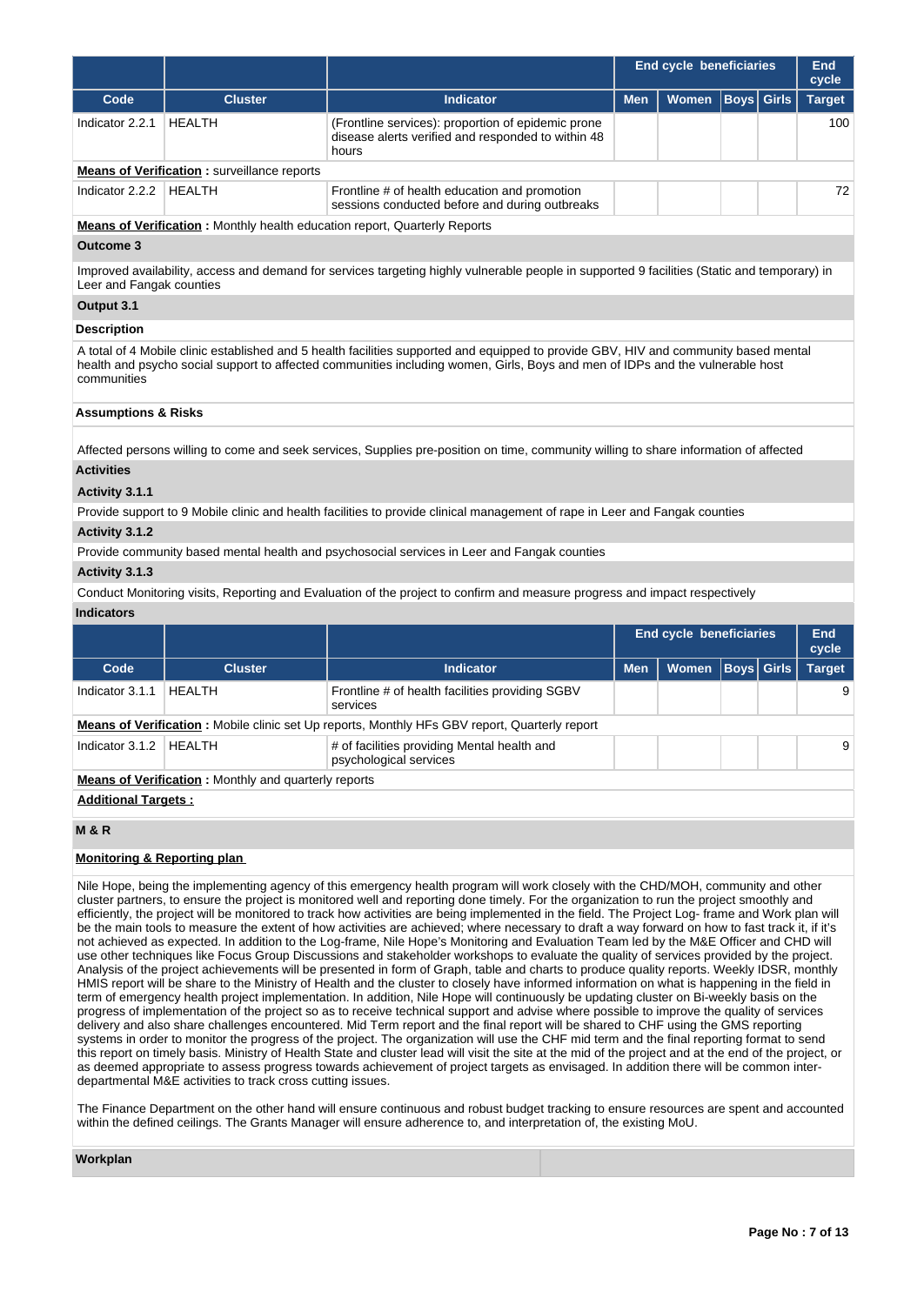|                                                                                                                                                                                                                                                                                      |                                                              |                                                                                                                                              | <b>End cycle beneficiaries</b> | End<br>cycle            |             |              |               |  |  |
|--------------------------------------------------------------------------------------------------------------------------------------------------------------------------------------------------------------------------------------------------------------------------------------|--------------------------------------------------------------|----------------------------------------------------------------------------------------------------------------------------------------------|--------------------------------|-------------------------|-------------|--------------|---------------|--|--|
| Code                                                                                                                                                                                                                                                                                 | <b>Cluster</b>                                               | <b>Indicator</b>                                                                                                                             | <b>Men</b>                     | Women                   | Boys        | <b>Girls</b> | <b>Target</b> |  |  |
| Indicator 2.2.1                                                                                                                                                                                                                                                                      | <b>HEALTH</b>                                                | (Frontline services): proportion of epidemic prone<br>disease alerts verified and responded to within 48<br>hours                            |                                |                         |             |              | 100           |  |  |
|                                                                                                                                                                                                                                                                                      | <b>Means of Verification:</b> surveillance reports           |                                                                                                                                              |                                |                         |             |              |               |  |  |
| Indicator 2.2.2                                                                                                                                                                                                                                                                      | <b>HEALTH</b>                                                | Frontline # of health education and promotion<br>sessions conducted before and during outbreaks                                              |                                |                         |             |              | 72            |  |  |
|                                                                                                                                                                                                                                                                                      |                                                              | <b>Means of Verification:</b> Monthly health education report, Quarterly Reports                                                             |                                |                         |             |              |               |  |  |
| Outcome 3                                                                                                                                                                                                                                                                            |                                                              |                                                                                                                                              |                                |                         |             |              |               |  |  |
| Leer and Fangak counties                                                                                                                                                                                                                                                             |                                                              | Improved availability, access and demand for services targeting highly vulnerable people in supported 9 facilities (Static and temporary) in |                                |                         |             |              |               |  |  |
| Output 3.1                                                                                                                                                                                                                                                                           |                                                              |                                                                                                                                              |                                |                         |             |              |               |  |  |
| <b>Description</b>                                                                                                                                                                                                                                                                   |                                                              |                                                                                                                                              |                                |                         |             |              |               |  |  |
| A total of 4 Mobile clinic established and 5 health facilities supported and equipped to provide GBV, HIV and community based mental<br>health and psycho social support to affected communities including women, Girls, Boys and men of IDPs and the vulnerable host<br>communities |                                                              |                                                                                                                                              |                                |                         |             |              |               |  |  |
| <b>Assumptions &amp; Risks</b>                                                                                                                                                                                                                                                       |                                                              |                                                                                                                                              |                                |                         |             |              |               |  |  |
|                                                                                                                                                                                                                                                                                      |                                                              | Affected persons willing to come and seek services, Supplies pre-position on time, community willing to share information of affected        |                                |                         |             |              |               |  |  |
| <b>Activities</b>                                                                                                                                                                                                                                                                    |                                                              |                                                                                                                                              |                                |                         |             |              |               |  |  |
| Activity 3.1.1                                                                                                                                                                                                                                                                       |                                                              |                                                                                                                                              |                                |                         |             |              |               |  |  |
|                                                                                                                                                                                                                                                                                      |                                                              | Provide support to 9 Mobile clinic and health facilities to provide clinical management of rape in Leer and Fangak counties                  |                                |                         |             |              |               |  |  |
| Activity 3.1.2                                                                                                                                                                                                                                                                       |                                                              |                                                                                                                                              |                                |                         |             |              |               |  |  |
|                                                                                                                                                                                                                                                                                      |                                                              | Provide community based mental health and psychosocial services in Leer and Fangak counties                                                  |                                |                         |             |              |               |  |  |
| Activity 3.1.3                                                                                                                                                                                                                                                                       |                                                              |                                                                                                                                              |                                |                         |             |              |               |  |  |
|                                                                                                                                                                                                                                                                                      |                                                              | Conduct Monitoring visits, Reporting and Evaluation of the project to confirm and measure progress and impact respectively                   |                                |                         |             |              |               |  |  |
| <b>Indicators</b>                                                                                                                                                                                                                                                                    |                                                              |                                                                                                                                              |                                |                         |             |              |               |  |  |
|                                                                                                                                                                                                                                                                                      |                                                              |                                                                                                                                              |                                | End cycle beneficiaries |             |              | End<br>cycle  |  |  |
| Code                                                                                                                                                                                                                                                                                 | <b>Cluster</b>                                               | <b>Indicator</b>                                                                                                                             | <b>Men</b>                     | Women                   | <b>Boys</b> | <b>Girls</b> | <b>Target</b> |  |  |
| Indicator 3.1.1                                                                                                                                                                                                                                                                      | <b>HEALTH</b>                                                | Frontline # of health facilities providing SGBV<br>services                                                                                  |                                |                         |             |              | 9             |  |  |
|                                                                                                                                                                                                                                                                                      |                                                              | <b>Means of Verification</b> : Mobile clinic set Up reports, Monthly HFs GBV report, Quarterly report                                        |                                |                         |             |              |               |  |  |
| Indicator 3.1.2   HEALTH                                                                                                                                                                                                                                                             |                                                              | # of facilities providing Mental health and<br>psychological services                                                                        |                                |                         |             |              |               |  |  |
|                                                                                                                                                                                                                                                                                      | <b>Means of Verification</b> : Monthly and quarterly reports |                                                                                                                                              |                                |                         |             |              |               |  |  |
| <b>Additional Targets:</b>                                                                                                                                                                                                                                                           |                                                              |                                                                                                                                              |                                |                         |             |              |               |  |  |
| <b>M &amp; R</b>                                                                                                                                                                                                                                                                     |                                                              |                                                                                                                                              |                                |                         |             |              |               |  |  |

## **Monitoring & Reporting plan**

Nile Hope, being the implementing agency of this emergency health program will work closely with the CHD/MOH, community and other cluster partners, to ensure the project is monitored well and reporting done timely. For the organization to run the project smoothly and efficiently, the project will be monitored to track how activities are being implemented in the field. The Project Log- frame and Work plan will be the main tools to measure the extent of how activities are achieved; where necessary to draft a way forward on how to fast track it, if it's not achieved as expected. In addition to the Log-frame, Nile Hope's Monitoring and Evaluation Team led by the M&E Officer and CHD will use other techniques like Focus Group Discussions and stakeholder workshops to evaluate the quality of services provided by the project. Analysis of the project achievements will be presented in form of Graph, table and charts to produce quality reports. Weekly IDSR, monthly HMIS report will be share to the Ministry of Health and the cluster to closely have informed information on what is happening in the field in term of emergency health project implementation. In addition, Nile Hope will continuously be updating cluster on Bi-weekly basis on the progress of implementation of the project so as to receive technical support and advise where possible to improve the quality of services delivery and also share challenges encountered. Mid Term report and the final report will be shared to CHF using the GMS reporting systems in order to monitor the progress of the project. The organization will use the CHF mid term and the final reporting format to send this report on timely basis. Ministry of Health State and cluster lead will visit the site at the mid of the project and at the end of the project, or as deemed appropriate to assess progress towards achievement of project targets as envisaged. In addition there will be common interdepartmental M&E activities to track cross cutting issues.

The Finance Department on the other hand will ensure continuous and robust budget tracking to ensure resources are spent and accounted within the defined ceilings. The Grants Manager will ensure adherence to, and interpretation of, the existing MoU.

### **Workplan**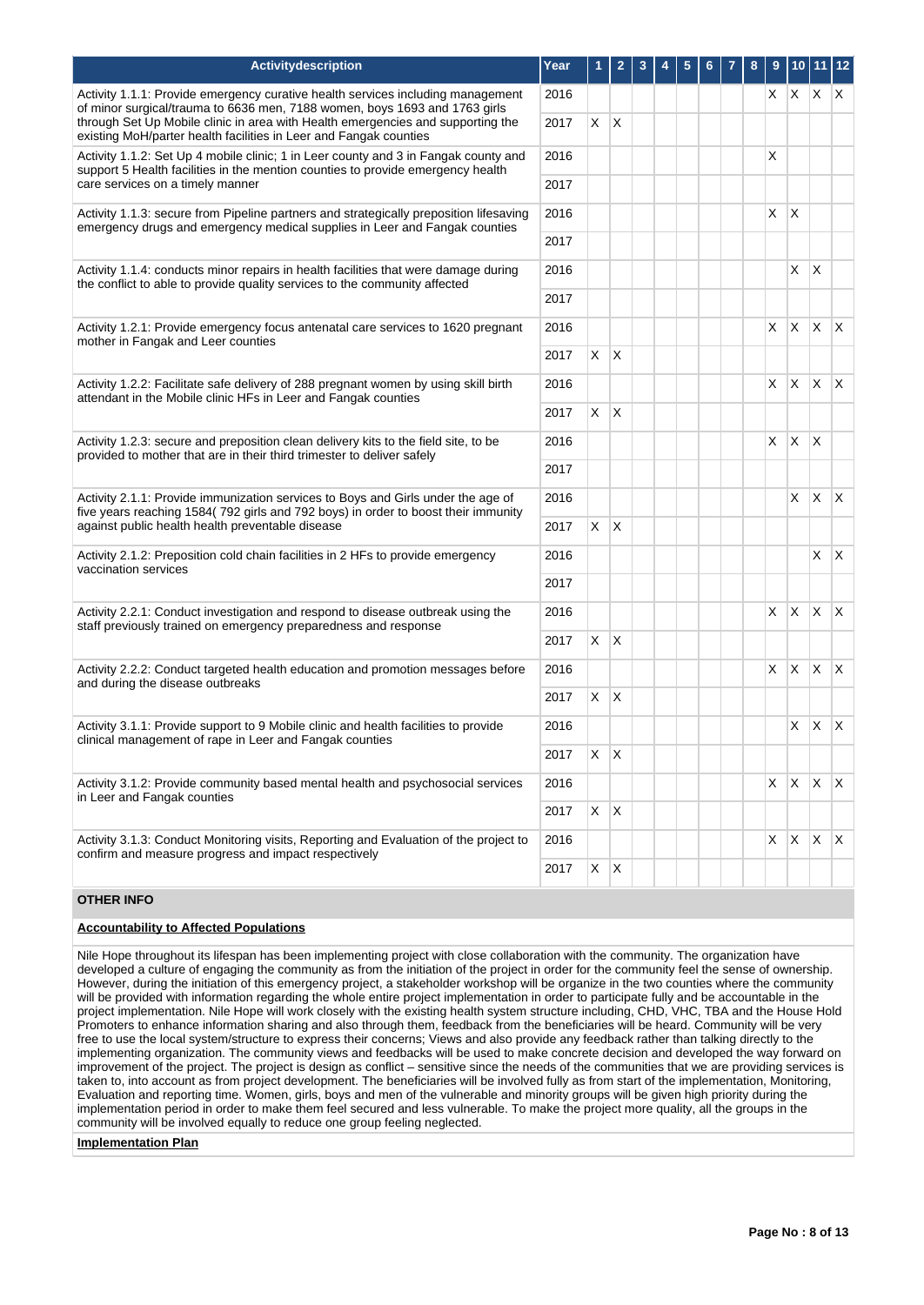| Activitydescription                                                                                                                                                    | Year         |                | $\mathbf{2}$ | 3 |  |  | 8 | 9  | 10           |                           | 12           |
|------------------------------------------------------------------------------------------------------------------------------------------------------------------------|--------------|----------------|--------------|---|--|--|---|----|--------------|---------------------------|--------------|
| Activity 1.1.1: Provide emergency curative health services including management<br>of minor surgical/trauma to 6636 men, 7188 women, boys 1693 and 1763 girls          |              |                |              |   |  |  |   | X. |              | $X$ $X$ $X$               |              |
| through Set Up Mobile clinic in area with Health emergencies and supporting the<br>existing MoH/parter health facilities in Leer and Fangak counties                   | 2017         | $X$ $X$        |              |   |  |  |   |    |              |                           |              |
| Activity 1.1.2: Set Up 4 mobile clinic; 1 in Leer county and 3 in Fangak county and<br>support 5 Health facilities in the mention counties to provide emergency health | 2016         |                |              |   |  |  |   | X  |              |                           |              |
| care services on a timely manner                                                                                                                                       | 2017         |                |              |   |  |  |   |    |              |                           |              |
| Activity 1.1.3: secure from Pipeline partners and strategically preposition lifesaving<br>emergency drugs and emergency medical supplies in Leer and Fangak counties   | 2016         |                |              |   |  |  |   | X  | $\times$     |                           |              |
|                                                                                                                                                                        | 2017         |                |              |   |  |  |   |    |              |                           |              |
| Activity 1.1.4: conducts minor repairs in health facilities that were damage during<br>the conflict to able to provide quality services to the community affected      |              |                |              |   |  |  |   |    | X.           | $\mathsf{X}$              |              |
|                                                                                                                                                                        | 2017         |                |              |   |  |  |   |    |              |                           |              |
| Activity 1.2.1: Provide emergency focus antenatal care services to 1620 pregnant<br>mother in Fangak and Leer counties                                                 | 2016         |                |              |   |  |  |   | X. |              | $X \times X$              |              |
|                                                                                                                                                                        | 2017         | $X$ $X$        |              |   |  |  |   |    |              |                           |              |
| Activity 1.2.2: Facilitate safe delivery of 288 pregnant women by using skill birth<br>attendant in the Mobile clinic HFs in Leer and Fangak counties                  | 2016         |                |              |   |  |  |   | X  |              | $X \times X$              |              |
|                                                                                                                                                                        | 2017         | $X$ $X$        |              |   |  |  |   |    |              |                           |              |
| Activity 1.2.3: secure and preposition clean delivery kits to the field site, to be<br>provided to mother that are in their third trimester to deliver safely          | 2016         |                |              |   |  |  |   | X  | X            | $\mathsf{I}\mathsf{X}$    |              |
|                                                                                                                                                                        | 2017         |                |              |   |  |  |   |    |              |                           |              |
| Activity 2.1.1: Provide immunization services to Boys and Girls under the age of<br>five years reaching 1584(792 girls and 792 boys) in order to boost their immunity  | 2016         |                |              |   |  |  |   |    | X            | X.                        | $\mathsf{X}$ |
| against public health health preventable disease                                                                                                                       | 2017         | X.             | $\mathsf{X}$ |   |  |  |   |    |              |                           |              |
| Activity 2.1.2: Preposition cold chain facilities in 2 HFs to provide emergency<br>vaccination services                                                                | 2016         |                |              |   |  |  |   |    |              | X                         | $\mathsf{X}$ |
|                                                                                                                                                                        | 2017         |                |              |   |  |  |   |    |              |                           |              |
| Activity 2.2.1: Conduct investigation and respond to disease outbreak using the<br>staff previously trained on emergency preparedness and response                     | 2016         |                |              |   |  |  |   | X  | $\mathsf{X}$ | $\mathsf{X}$ $\mathsf{X}$ |              |
|                                                                                                                                                                        | 2017<br>2016 | X              | $\mathsf{X}$ |   |  |  |   |    |              |                           |              |
| Activity 2.2.2: Conduct targeted health education and promotion messages before<br>and during the disease outbreaks                                                    |              |                |              |   |  |  |   | X  | X            | ΙX.                       | $\mathsf{X}$ |
|                                                                                                                                                                        | 2017         | X.             | $\mathsf{X}$ |   |  |  |   |    |              |                           |              |
| Activity 3.1.1: Provide support to 9 Mobile clinic and health facilities to provide<br>clinical management of rape in Leer and Fangak counties                         | 2016         |                |              |   |  |  |   |    | X            | $\mathsf{X}$              | $\mathsf{X}$ |
|                                                                                                                                                                        | 2017         | $\mathsf{X}^-$ | $\mathsf{X}$ |   |  |  |   |    |              |                           |              |
| Activity 3.1.2: Provide community based mental health and psychosocial services<br>in Leer and Fangak counties                                                         | 2016         |                |              |   |  |  |   |    |              | $X \mid X \mid X \mid X$  |              |
|                                                                                                                                                                        | 2017         |                | $X \mid X$   |   |  |  |   |    |              |                           |              |
| Activity 3.1.3: Conduct Monitoring visits, Reporting and Evaluation of the project to                                                                                  | 2016         |                |              |   |  |  |   | X  | $x \mid x$   |                           | $\mathsf{X}$ |
| confirm and measure progress and impact respectively                                                                                                                   |              | X              | X            |   |  |  |   |    |              |                           |              |

# **OTHER INFO**

## **Accountability to Affected Populations**

Nile Hope throughout its lifespan has been implementing project with close collaboration with the community. The organization have developed a culture of engaging the community as from the initiation of the project in order for the community feel the sense of ownership. However, during the initiation of this emergency project, a stakeholder workshop will be organize in the two counties where the community will be provided with information regarding the whole entire project implementation in order to participate fully and be accountable in the project implementation. Nile Hope will work closely with the existing health system structure including, CHD, VHC, TBA and the House Hold Promoters to enhance information sharing and also through them, feedback from the beneficiaries will be heard. Community will be very free to use the local system/structure to express their concerns; Views and also provide any feedback rather than talking directly to the implementing organization. The community views and feedbacks will be used to make concrete decision and developed the way forward on improvement of the project. The project is design as conflict – sensitive since the needs of the communities that we are providing services is taken to, into account as from project development. The beneficiaries will be involved fully as from start of the implementation, Monitoring, Evaluation and reporting time. Women, girls, boys and men of the vulnerable and minority groups will be given high priority during the implementation period in order to make them feel secured and less vulnerable. To make the project more quality, all the groups in the community will be involved equally to reduce one group feeling neglected.

**Implementation Plan**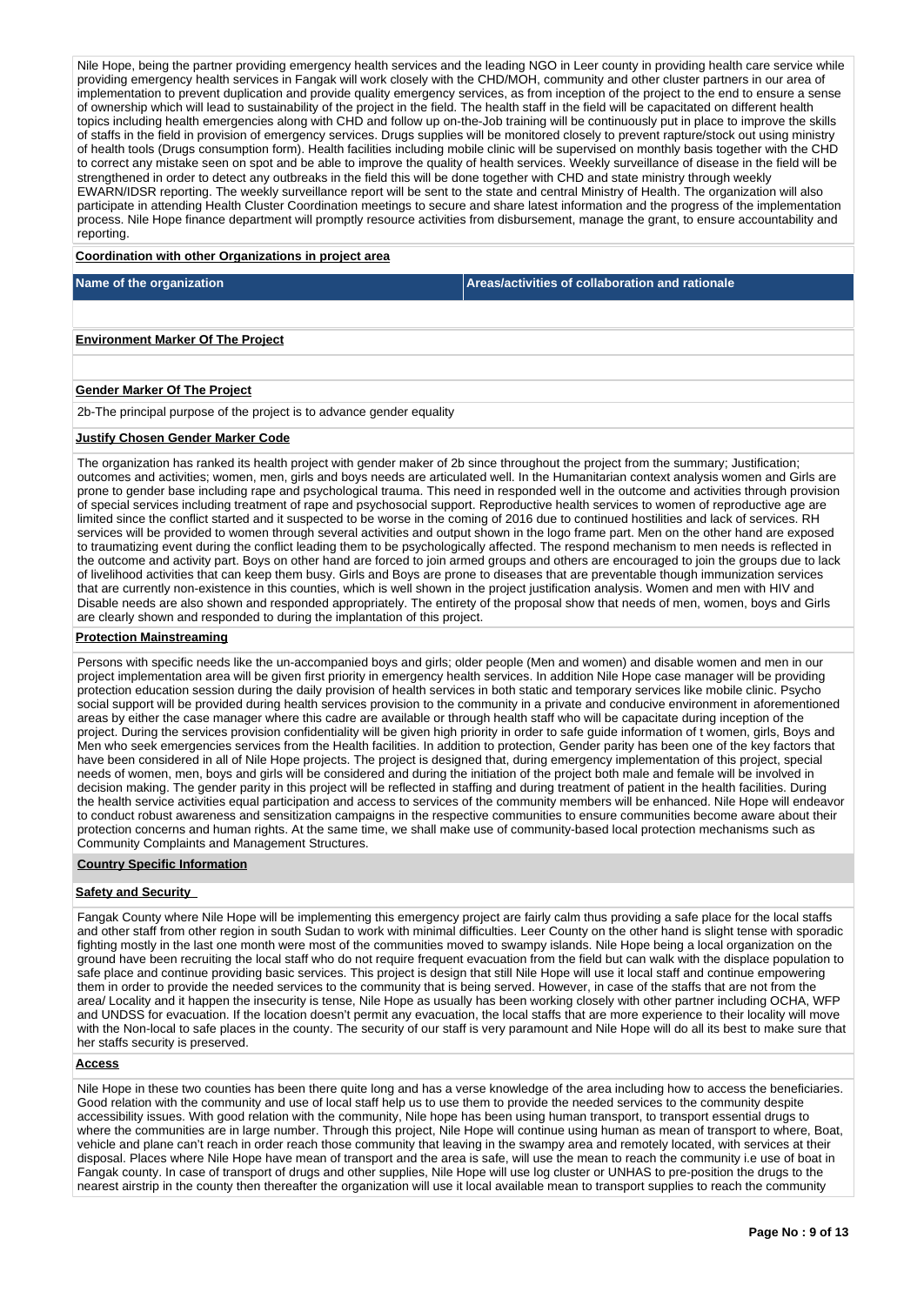Nile Hope, being the partner providing emergency health services and the leading NGO in Leer county in providing health care service while providing emergency health services in Fangak will work closely with the CHD/MOH, community and other cluster partners in our area of implementation to prevent duplication and provide quality emergency services, as from inception of the project to the end to ensure a sense of ownership which will lead to sustainability of the project in the field. The health staff in the field will be capacitated on different health topics including health emergencies along with CHD and follow up on-the-Job training will be continuously put in place to improve the skills of staffs in the field in provision of emergency services. Drugs supplies will be monitored closely to prevent rapture/stock out using ministry of health tools (Drugs consumption form). Health facilities including mobile clinic will be supervised on monthly basis together with the CHD to correct any mistake seen on spot and be able to improve the quality of health services. Weekly surveillance of disease in the field will be strengthened in order to detect any outbreaks in the field this will be done together with CHD and state ministry through weekly EWARN/IDSR reporting. The weekly surveillance report will be sent to the state and central Ministry of Health. The organization will also participate in attending Health Cluster Coordination meetings to secure and share latest information and the progress of the implementation process. Nile Hope finance department will promptly resource activities from disbursement, manage the grant, to ensure accountability and reporting.

### **Coordination with other Organizations in project area**

**Name of the organization Areas/activities of collaboration and rationale** 

#### **Environment Marker Of The Project**

### **Gender Marker Of The Project**

2b-The principal purpose of the project is to advance gender equality

## **Justify Chosen Gender Marker Code**

The organization has ranked its health project with gender maker of 2b since throughout the project from the summary; Justification; outcomes and activities; women, men, girls and boys needs are articulated well. In the Humanitarian context analysis women and Girls are prone to gender base including rape and psychological trauma. This need in responded well in the outcome and activities through provision of special services including treatment of rape and psychosocial support. Reproductive health services to women of reproductive age are limited since the conflict started and it suspected to be worse in the coming of 2016 due to continued hostilities and lack of services. RH services will be provided to women through several activities and output shown in the logo frame part. Men on the other hand are exposed to traumatizing event during the conflict leading them to be psychologically affected. The respond mechanism to men needs is reflected in the outcome and activity part. Boys on other hand are forced to join armed groups and others are encouraged to join the groups due to lack of livelihood activities that can keep them busy. Girls and Boys are prone to diseases that are preventable though immunization services that are currently non-existence in this counties, which is well shown in the project justification analysis. Women and men with HIV and Disable needs are also shown and responded appropriately. The entirety of the proposal show that needs of men, women, boys and Girls are clearly shown and responded to during the implantation of this project.

### **Protection Mainstreaming**

Persons with specific needs like the un-accompanied boys and girls; older people (Men and women) and disable women and men in our project implementation area will be given first priority in emergency health services. In addition Nile Hope case manager will be providing protection education session during the daily provision of health services in both static and temporary services like mobile clinic. Psycho social support will be provided during health services provision to the community in a private and conducive environment in aforementioned areas by either the case manager where this cadre are available or through health staff who will be capacitate during inception of the project. During the services provision confidentiality will be given high priority in order to safe guide information of t women, girls, Boys and Men who seek emergencies services from the Health facilities. In addition to protection, Gender parity has been one of the key factors that have been considered in all of Nile Hope projects. The project is designed that, during emergency implementation of this project, special needs of women, men, boys and girls will be considered and during the initiation of the project both male and female will be involved in decision making. The gender parity in this project will be reflected in staffing and during treatment of patient in the health facilities. During the health service activities equal participation and access to services of the community members will be enhanced. Nile Hope will endeavor to conduct robust awareness and sensitization campaigns in the respective communities to ensure communities become aware about their protection concerns and human rights. At the same time, we shall make use of community-based local protection mechanisms such as Community Complaints and Management Structures.

## **Country Specific Information**

## **Safety and Security**

Fangak County where Nile Hope will be implementing this emergency project are fairly calm thus providing a safe place for the local staffs and other staff from other region in south Sudan to work with minimal difficulties. Leer County on the other hand is slight tense with sporadic fighting mostly in the last one month were most of the communities moved to swampy islands. Nile Hope being a local organization on the ground have been recruiting the local staff who do not require frequent evacuation from the field but can walk with the displace population to safe place and continue providing basic services. This project is design that still Nile Hope will use it local staff and continue empowering them in order to provide the needed services to the community that is being served. However, in case of the staffs that are not from the area/ Locality and it happen the insecurity is tense, Nile Hope as usually has been working closely with other partner including OCHA, WFP and UNDSS for evacuation. If the location doesn't permit any evacuation, the local staffs that are more experience to their locality will move with the Non-local to safe places in the county. The security of our staff is very paramount and Nile Hope will do all its best to make sure that her staffs security is preserved.

#### **Access**

Nile Hope in these two counties has been there quite long and has a verse knowledge of the area including how to access the beneficiaries. Good relation with the community and use of local staff help us to use them to provide the needed services to the community despite accessibility issues. With good relation with the community, Nile hope has been using human transport, to transport essential drugs to where the communities are in large number. Through this project, Nile Hope will continue using human as mean of transport to where, Boat, vehicle and plane can't reach in order reach those community that leaving in the swampy area and remotely located, with services at their disposal. Places where Nile Hope have mean of transport and the area is safe, will use the mean to reach the community i.e use of boat in Fangak county. In case of transport of drugs and other supplies, Nile Hope will use log cluster or UNHAS to pre-position the drugs to the nearest airstrip in the county then thereafter the organization will use it local available mean to transport supplies to reach the community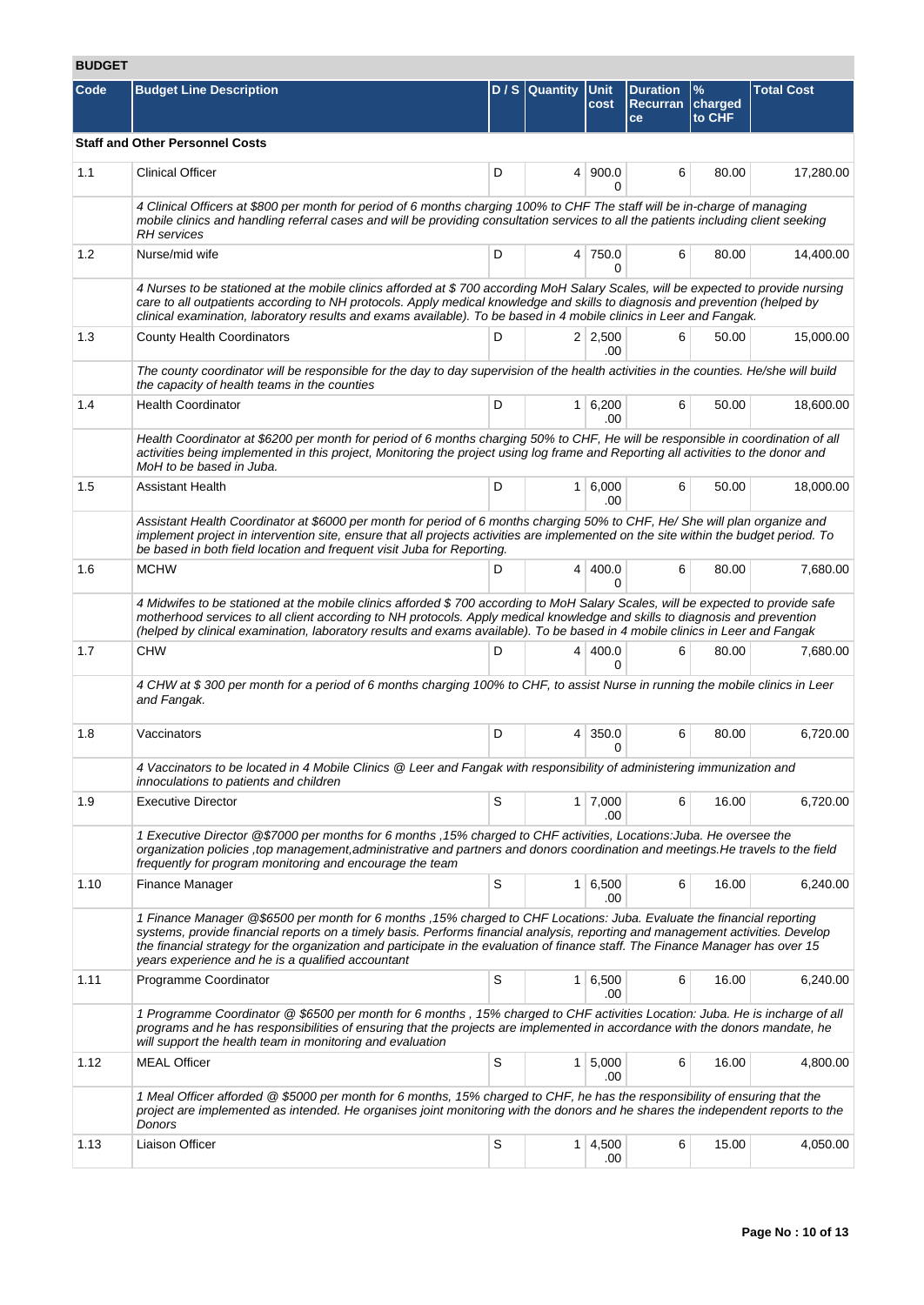# **BUDGET**

| Code | <b>Budget Line Description</b>                                                                                                                                                                                                                                                                                                                                                                                                                    |   | D / S Quantity Unit | cost                        | <b>Duration</b><br><b>Recurran</b><br>ce | $\%$<br>charged<br>to CHF | <b>Total Cost</b> |  |  |  |  |
|------|---------------------------------------------------------------------------------------------------------------------------------------------------------------------------------------------------------------------------------------------------------------------------------------------------------------------------------------------------------------------------------------------------------------------------------------------------|---|---------------------|-----------------------------|------------------------------------------|---------------------------|-------------------|--|--|--|--|
|      | <b>Staff and Other Personnel Costs</b>                                                                                                                                                                                                                                                                                                                                                                                                            |   |                     |                             |                                          |                           |                   |  |  |  |  |
| 1.1  | <b>Clinical Officer</b>                                                                                                                                                                                                                                                                                                                                                                                                                           | D |                     | 4   900.0<br>0              | 6                                        | 80.00                     | 17,280.00         |  |  |  |  |
|      | 4 Clinical Officers at \$800 per month for period of 6 months charging 100% to CHF The staff will be in-charge of managing<br>mobile clinics and handling referral cases and will be providing consultation services to all the patients including client seeking<br><b>RH</b> services                                                                                                                                                           |   |                     |                             |                                          |                           |                   |  |  |  |  |
| 1.2  | Nurse/mid wife                                                                                                                                                                                                                                                                                                                                                                                                                                    | D |                     | 4 750.0<br>0                | 6                                        | 80.00                     | 14,400.00         |  |  |  |  |
|      | 4 Nurses to be stationed at the mobile clinics afforded at \$700 according MoH Salary Scales, will be expected to provide nursing<br>care to all outpatients according to NH protocols. Apply medical knowledge and skills to diagnosis and prevention (helped by<br>clinical examination, laboratory results and exams available). To be based in 4 mobile clinics in Leer and Fangak.                                                           |   |                     |                             |                                          |                           |                   |  |  |  |  |
| 1.3  | <b>County Health Coordinators</b>                                                                                                                                                                                                                                                                                                                                                                                                                 | D |                     | $2 \mid 2,500$<br>.00       | 6                                        | 50.00                     | 15,000.00         |  |  |  |  |
|      | The county coordinator will be responsible for the day to day supervision of the health activities in the counties. He/she will build<br>the capacity of health teams in the counties                                                                                                                                                                                                                                                             |   |                     |                             |                                          |                           |                   |  |  |  |  |
| 1.4  | <b>Health Coordinator</b>                                                                                                                                                                                                                                                                                                                                                                                                                         | D |                     | $1 \, 6,200$<br>.00         | 6                                        | 50.00                     | 18,600.00         |  |  |  |  |
|      | Health Coordinator at \$6200 per month for period of 6 months charging 50% to CHF, He will be responsible in coordination of all<br>activities being implemented in this project, Monitoring the project using log frame and Reporting all activities to the donor and<br>MoH to be based in Juba.                                                                                                                                                |   |                     |                             |                                          |                           |                   |  |  |  |  |
| 1.5  | <b>Assistant Health</b>                                                                                                                                                                                                                                                                                                                                                                                                                           | D |                     | 1 6,000<br>.00              | 6                                        | 50.00                     | 18,000.00         |  |  |  |  |
|      | Assistant Health Coordinator at \$6000 per month for period of 6 months charging 50% to CHF, He/ She will plan organize and<br>implement project in intervention site, ensure that all projects activities are implemented on the site within the budget period. To<br>be based in both field location and frequent visit Juba for Reporting.                                                                                                     |   |                     |                             |                                          |                           |                   |  |  |  |  |
| 1.6  | <b>MCHW</b>                                                                                                                                                                                                                                                                                                                                                                                                                                       | D |                     | 4   400.0<br>0              | 6                                        | 80.00                     | 7,680.00          |  |  |  |  |
|      | 4 Midwifes to be stationed at the mobile clinics afforded \$700 according to MoH Salary Scales, will be expected to provide safe<br>motherhood services to all client according to NH protocols. Apply medical knowledge and skills to diagnosis and prevention<br>(helped by clinical examination, laboratory results and exams available). To be based in 4 mobile clinics in Leer and Fangak                                                   |   |                     |                             |                                          |                           |                   |  |  |  |  |
| 1.7  | <b>CHW</b>                                                                                                                                                                                                                                                                                                                                                                                                                                        | D |                     | 4 400.0<br>0                | 6                                        | 80.00                     | 7,680.00          |  |  |  |  |
|      | 4 CHW at \$300 per month for a period of 6 months charging 100% to CHF, to assist Nurse in running the mobile clinics in Leer<br>and Fangak.                                                                                                                                                                                                                                                                                                      |   |                     |                             |                                          |                           |                   |  |  |  |  |
| 1.8  | Vaccinators                                                                                                                                                                                                                                                                                                                                                                                                                                       | D |                     | $4 \mid 350.0$<br>0         | 6                                        | 80.00                     | 6,720.00          |  |  |  |  |
|      | 4 Vaccinators to be located in 4 Mobile Clinics @ Leer and Fangak with responsibility of administering immunization and<br>innoculations to patients and children                                                                                                                                                                                                                                                                                 |   |                     |                             |                                          |                           |                   |  |  |  |  |
| 1.9  | <b>Executive Director</b>                                                                                                                                                                                                                                                                                                                                                                                                                         | S |                     | $1 \overline{7,000}$<br>.00 | 6                                        | 16.00                     | 6,720.00          |  |  |  |  |
|      | 1 Executive Director @\$7000 per months for 6 months , 15% charged to CHF activities, Locations: Juba. He oversee the<br>organization policies , top management, administrative and partners and donors coordination and meetings. He travels to the field<br>frequently for program monitoring and encourage the team                                                                                                                            |   |                     |                             |                                          |                           |                   |  |  |  |  |
| 1.10 | Finance Manager                                                                                                                                                                                                                                                                                                                                                                                                                                   | S |                     | $1 \ 6,500$<br>.00          | 6                                        | 16.00                     | 6,240.00          |  |  |  |  |
|      | 1 Finance Manager @\$6500 per month for 6 months, 15% charged to CHF Locations: Juba. Evaluate the financial reporting<br>systems, provide financial reports on a timely basis. Performs financial analysis, reporting and management activities. Develop<br>the financial strategy for the organization and participate in the evaluation of finance staff. The Finance Manager has over 15<br>years experience and he is a qualified accountant |   |                     |                             |                                          |                           |                   |  |  |  |  |
| 1.11 | Programme Coordinator                                                                                                                                                                                                                                                                                                                                                                                                                             | S |                     | $1 \ 6,500$<br>.00          | 6                                        | 16.00                     | 6,240.00          |  |  |  |  |
|      | 1 Programme Coordinator @ \$6500 per month for 6 months, 15% charged to CHF activities Location: Juba. He is incharge of all<br>programs and he has responsibilities of ensuring that the projects are implemented in accordance with the donors mandate, he<br>will support the health team in monitoring and evaluation                                                                                                                         |   |                     |                             |                                          |                           |                   |  |  |  |  |
| 1.12 | <b>MEAL Officer</b>                                                                                                                                                                                                                                                                                                                                                                                                                               | S |                     | $1 \, 5,000$<br>.00         | 6                                        | 16.00                     | 4,800.00          |  |  |  |  |
|      | 1 Meal Officer afforded @ \$5000 per month for 6 months, 15% charged to CHF, he has the responsibility of ensuring that the<br>project are implemented as intended. He organises joint monitoring with the donors and he shares the independent reports to the<br>Donors                                                                                                                                                                          |   |                     |                             |                                          |                           |                   |  |  |  |  |
| 1.13 | Liaison Officer                                                                                                                                                                                                                                                                                                                                                                                                                                   | S |                     | 1 4,500<br>.00              | 6                                        | 15.00                     | 4,050.00          |  |  |  |  |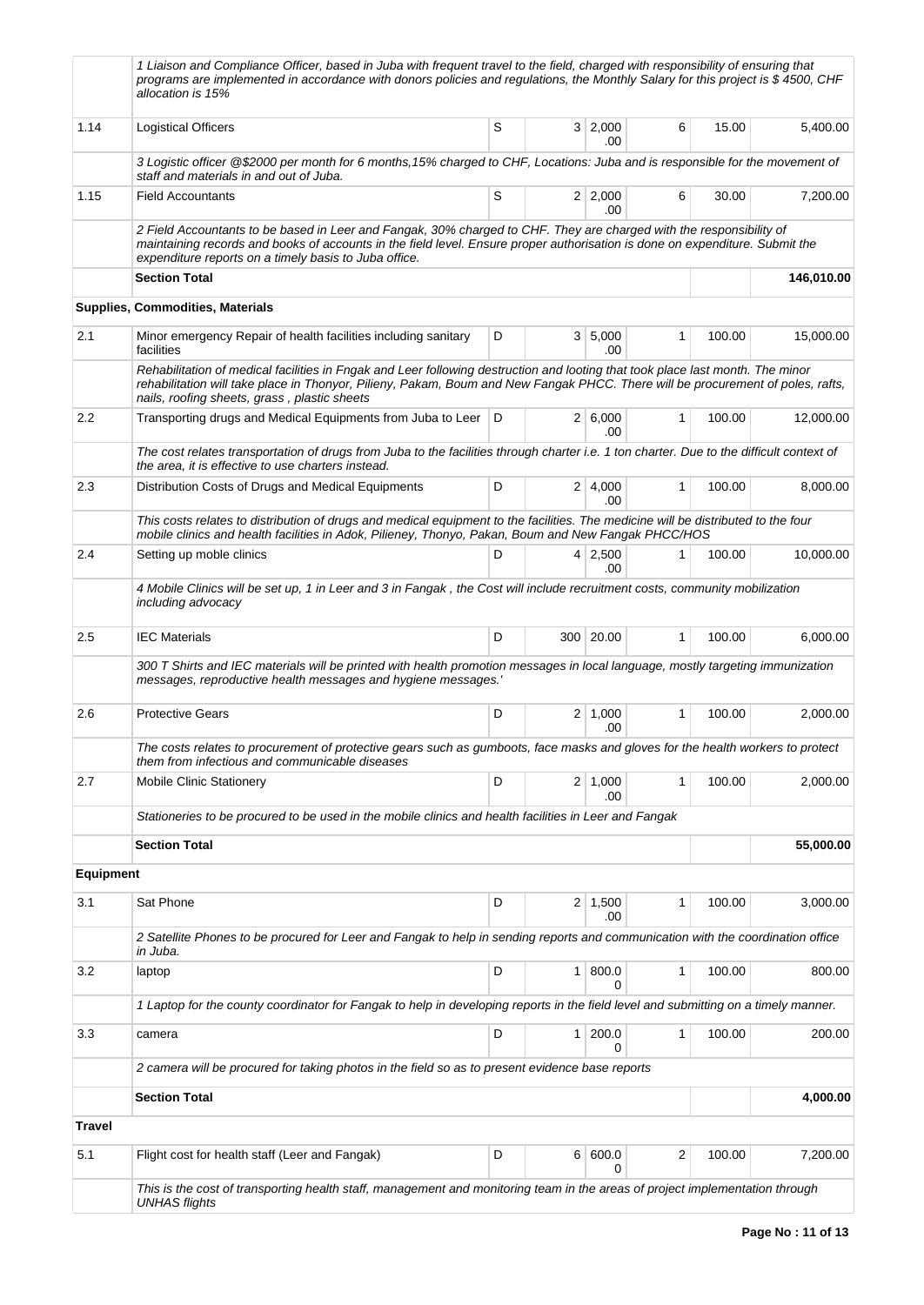|                  | 1 Liaison and Compliance Officer, based in Juba with frequent travel to the field, charged with responsibility of ensuring that<br>programs are implemented in accordance with donors policies and regulations, the Monthly Salary for this project is \$4500, CHF<br>allocation is 15%                           |     |                          |              |        |            |
|------------------|-------------------------------------------------------------------------------------------------------------------------------------------------------------------------------------------------------------------------------------------------------------------------------------------------------------------|-----|--------------------------|--------------|--------|------------|
| 1.14             | <b>Logistical Officers</b>                                                                                                                                                                                                                                                                                        | S   | 3 2,000<br>.00           | 6            | 15.00  | 5,400.00   |
|                  | 3 Logistic officer @\$2000 per month for 6 months, 15% charged to CHF, Locations: Juba and is responsible for the movement of<br>staff and materials in and out of Juba.                                                                                                                                          |     |                          |              |        |            |
| 1.15             | <b>Field Accountants</b>                                                                                                                                                                                                                                                                                          | S   | $2 \mid 2,000$           | 6            | 30.00  | 7,200.00   |
|                  | 2 Field Accountants to be based in Leer and Fangak, 30% charged to CHF. They are charged with the responsibility of<br>maintaining records and books of accounts in the field level. Ensure proper authorisation is done on expenditure. Submit the                                                               |     | .00                      |              |        |            |
|                  | expenditure reports on a timely basis to Juba office.<br><b>Section Total</b>                                                                                                                                                                                                                                     |     |                          |              |        | 146,010.00 |
|                  | Supplies, Commodities, Materials                                                                                                                                                                                                                                                                                  |     |                          |              |        |            |
| 2.1              | Minor emergency Repair of health facilities including sanitary                                                                                                                                                                                                                                                    | D   | 3 5,000                  | 1            | 100.00 | 15,000.00  |
|                  | facilities                                                                                                                                                                                                                                                                                                        |     | .00                      |              |        |            |
|                  | Rehabilitation of medical facilities in Fngak and Leer following destruction and looting that took place last month. The minor<br>rehabilitation will take place in Thonyor, Pilieny, Pakam, Boum and New Fangak PHCC. There will be procurement of poles, rafts,<br>nails, roofing sheets, grass, plastic sheets |     |                          |              |        |            |
| 2.2              | Transporting drugs and Medical Equipments from Juba to Leer                                                                                                                                                                                                                                                       | I D | 2 6.000<br>.00           | $\mathbf{1}$ | 100.00 | 12,000.00  |
|                  | The cost relates transportation of drugs from Juba to the facilities through charter i.e. 1 ton charter. Due to the difficult context of<br>the area, it is effective to use charters instead.                                                                                                                    |     |                          |              |        |            |
| 2.3              | Distribution Costs of Drugs and Medical Equipments                                                                                                                                                                                                                                                                | D   | 2 4,000                  | 1            | 100.00 | 8,000.00   |
|                  | This costs relates to distribution of drugs and medical equipment to the facilities. The medicine will be distributed to the four<br>mobile clinics and health facilities in Adok, Pilieney, Thonyo, Pakan, Boum and New Fangak PHCC/HOS                                                                          |     | .00                      |              |        |            |
| 2.4              | Setting up moble clinics                                                                                                                                                                                                                                                                                          | D   | 4 2,500<br>.00           | 1            | 100.00 | 10,000.00  |
|                  | 4 Mobile Clinics will be set up, 1 in Leer and 3 in Fangak, the Cost will include recruitment costs, community mobilization<br>including advocacy                                                                                                                                                                 |     |                          |              |        |            |
| 2.5              | <b>IEC Materials</b>                                                                                                                                                                                                                                                                                              | D   | 300 20.00                | 1            | 100.00 | 6,000.00   |
|                  | 300 T Shirts and IEC materials will be printed with health promotion messages in local language, mostly targeting immunization<br>messages, reproductive health messages and hygiene messages.'                                                                                                                   |     |                          |              |        |            |
| 2.6              | <b>Protective Gears</b>                                                                                                                                                                                                                                                                                           | D   | 2   1,000<br>.00         | 1            | 100.00 | 2,000.00   |
|                  | The costs relates to procurement of protective gears such as gumboots, face masks and gloves for the health workers to protect<br>them from infectious and communicable diseases                                                                                                                                  |     |                          |              |        |            |
| 2.7              | <b>Mobile Clinic Stationery</b>                                                                                                                                                                                                                                                                                   | D   | $2 \mid 1,000$<br>.00    | 1            | 100.00 | 2,000.00   |
|                  | Stationeries to be procured to be used in the mobile clinics and health facilities in Leer and Fangak                                                                                                                                                                                                             |     |                          |              |        |            |
|                  | <b>Section Total</b>                                                                                                                                                                                                                                                                                              |     |                          |              |        | 55,000.00  |
| <b>Equipment</b> |                                                                                                                                                                                                                                                                                                                   |     |                          |              |        |            |
| 3.1              | Sat Phone                                                                                                                                                                                                                                                                                                         | D   | $2 \mid 1,500$<br>.00    | 1            | 100.00 | 3,000.00   |
|                  | 2 Satellite Phones to be procured for Leer and Fangak to help in sending reports and communication with the coordination office<br>in Juba.                                                                                                                                                                       |     |                          |              |        |            |
| 3.2              | laptop                                                                                                                                                                                                                                                                                                            | D   | 1   800.0<br>0           | 1            | 100.00 | 800.00     |
|                  | 1 Laptop for the county coordinator for Fangak to help in developing reports in the field level and submitting on a timely manner.                                                                                                                                                                                |     |                          |              |        |            |
| 3.3              | camera                                                                                                                                                                                                                                                                                                            | D   | $1 \, 200.0$<br>$\Omega$ | 1            | 100.00 | 200.00     |
|                  | 2 camera will be procured for taking photos in the field so as to present evidence base reports                                                                                                                                                                                                                   |     |                          |              |        |            |
|                  | <b>Section Total</b>                                                                                                                                                                                                                                                                                              |     |                          |              |        | 4,000.00   |
| <b>Travel</b>    |                                                                                                                                                                                                                                                                                                                   |     |                          |              |        |            |
| 5.1              | Flight cost for health staff (Leer and Fangak)                                                                                                                                                                                                                                                                    | D   | 6   600.0<br>0           | 2            | 100.00 | 7,200.00   |
|                  | This is the cost of transporting health staff, management and monitoring team in the areas of project implementation through<br><b>UNHAS flights</b>                                                                                                                                                              |     |                          |              |        |            |